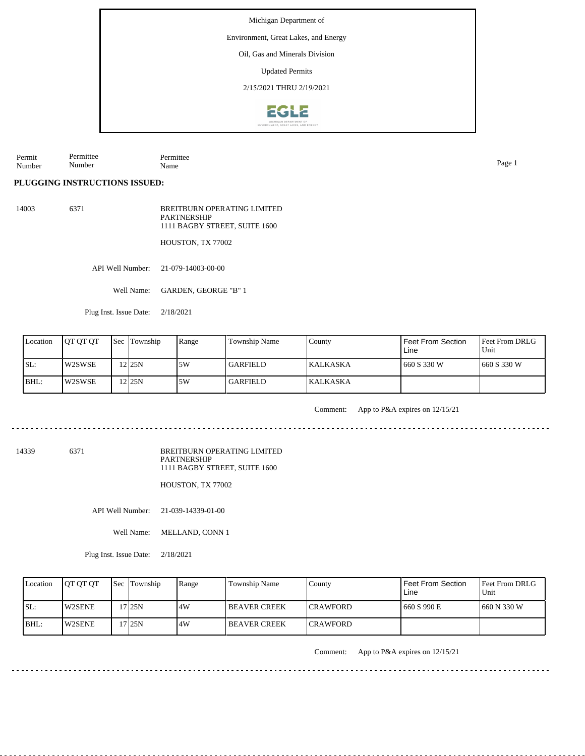Environment, Great Lakes, and Energy

Oil, Gas and Minerals Division

Updated Permits

2/15/2021 THRU 2/19/2021



Permit Number Permittee Number Permittee Name Page 1

**PLUGGING INSTRUCTIONS ISSUED:**

14003 6371 BREITBURN OPERATING LIMITED PARTNERSHIP 1111 BAGBY STREET, SUITE 1600

HOUSTON, TX 77002

API Well Number: 21-079-14003-00-00

Well Name: GARDEN, GEORGE "B" 1

Plug Inst. Issue Date: 2/18/2021

| Location | <b>JOT OT OT</b> | <b>Sec</b> Township | Range | <b>Township Name</b> | County           | <b>Feet From Section</b><br>Line | <b>Feet From DRLG</b><br>Unit |
|----------|------------------|---------------------|-------|----------------------|------------------|----------------------------------|-------------------------------|
| ISL:     | l W2SWSE         | $2$ 25N             | ا 5W  | l GARFIELD.          | <b>IKALKASKA</b> | 660 S 330 W                      | 1660 S 330 W                  |
| BHL:     | W2SWSE           | 225N                | 5W    | l GARFIELD.          | <b>KALKASKA</b>  |                                  |                               |

Comment: App to P&A expires on 12/15/21

14339 6371

BREITBURN OPERATING LIMITED PARTNERSHIP 1111 BAGBY STREET, SUITE 1600

HOUSTON, TX 77002

API Well Number: 21-039-14339-01-00

Well Name: MELLAND, CONN 1

Plug Inst. Issue Date: 2/18/2021

| Location | <b>IOT OT OT</b> | <b>Sec Township</b> | Range | Township Name       | County           | <b>Feet From Section</b><br>Line | Feet From DRLG<br>Unit |
|----------|------------------|---------------------|-------|---------------------|------------------|----------------------------------|------------------------|
| ISL:     | <b>IW2SENE</b>   | 7 I25N              | .4W   | <b>BEAVER CREEK</b> | <b>ICRAWFORD</b> | 660 S 990 E                      | 1660 N 330 W           |
| $IBHL$ : | <b>IW2SENE</b>   | 7 I25N              | .4W   | <b>BEAVER CREEK</b> | <b>ICRAWFORD</b> |                                  |                        |

Comment: App to P&A expires on 12/15/21

. . . . . . . . . . . . .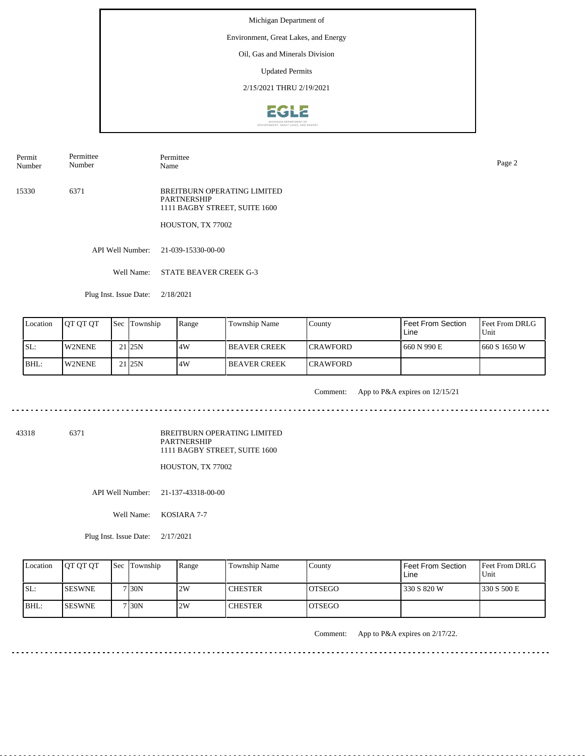### Environment, Great Lakes, and Energy

Oil, Gas and Minerals Division

Updated Permits

2/15/2021 THRU 2/19/2021



Permit Number Permittee Number

Permittee Name Page 2

15330 6371 BREITBURN OPERATING LIMITED PARTNERSHIP 1111 BAGBY STREET, SUITE 1600

HOUSTON, TX 77002

API Well Number: 21-039-15330-00-00

Well Name: STATE BEAVER CREEK G-3

Plug Inst. Issue Date: 2/18/2021

| Location | <b>OT OT OT</b> | Sec Township       | Range | Township Name       | County           | <b>Feet From Section</b><br>Line | Feet From DRLG<br>Unit |
|----------|-----------------|--------------------|-------|---------------------|------------------|----------------------------------|------------------------|
| SL:      | <b>IW2NENE</b>  | 21 <sub>125N</sub> | 14W   | I BEAVER CREEK      | <b>ICRAWFORD</b> | 660 N 990 E                      | 1660 S 1650 W          |
| BHL:     | <b>IW2NENE</b>  | $21$  25N          | 4W    | <b>BEAVER CREEK</b> | <b>ICRAWFORD</b> |                                  |                        |

<u>. . . . . . . . . .</u>

Comment: App to P&A expires on 12/15/21

43318 6371

BREITBURN OPERATING LIMITED PARTNERSHIP 1111 BAGBY STREET, SUITE 1600

HOUSTON, TX 77002

API Well Number: 21-137-43318-00-00

Well Name: KOSIARA 7-7

Plug Inst. Issue Date: 2/17/2021

| Location | <b>OT OT OT</b> | <b>Sec</b> Township | Range | Township Name  | County         | Feet From Section<br>∟ine | <b>Feet From DRLG</b><br>Unit |
|----------|-----------------|---------------------|-------|----------------|----------------|---------------------------|-------------------------------|
| ISL:     | <b>ISESWNE</b>  | 7 <sub>30</sub> N   | 2W    | <b>CHESTER</b> | <b>LOTSEGO</b> | 330 S 820 W               | 1330 S 500 E                  |
| BHL:     | <b>ISESWNE</b>  | 7 30N               | 2W    | <b>CHESTER</b> | IOTSEGO        |                           |                               |

Comment: App to P&A expires on 2/17/22.

. . . . . . . . . . .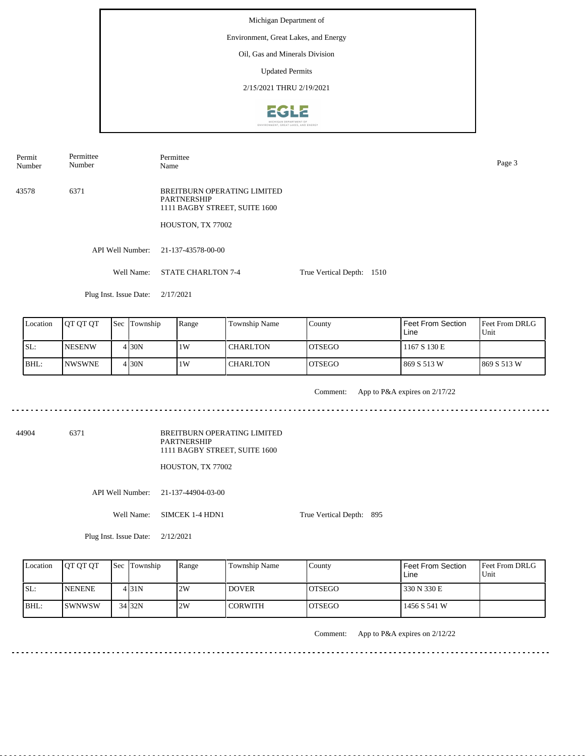Michigan Department of Environment, Great Lakes, and Energy Oil, Gas and Minerals Division Updated Permits 2/15/2021 THRU 2/19/2021**EGLE** 

Permit Number Permittee Number

Permittee Name Page 3

43578 6371 BREITBURN OPERATING LIMITED PARTNERSHIP 1111 BAGBY STREET, SUITE 1600

HOUSTON, TX 77002

API Well Number: 21-137-43578-00-00

Well Name: STATE CHARLTON 7-4 True Vertical Depth: 1510

Plug Inst. Issue Date: 2/17/2021

| Location | <b>IOT OT OT</b> | <b>Sec Township</b> | Range | Township Name   | County         | <b>Feet From Section</b><br>Line | <b>Feet From DRLG</b><br>Unit |
|----------|------------------|---------------------|-------|-----------------|----------------|----------------------------------|-------------------------------|
| ISL:     | <b>INESENW</b>   | 4 I 30 N            | 1W    | <b>CHARLTON</b> | IOTSEGO        | 1167 S 130 E                     |                               |
| BHL:     | <b>INWSWNE</b>   | 4 I 30 N            | 1W    | <b>CHARLTON</b> | <b>IOTSEGO</b> | 869 S 513 W                      | 1869 S 513 W                  |

. . . . . . . . . . . . . . . . .

Comment: App to P&A expires on 2/17/22

<u>. . . . . . . . . . .</u>

44904 6371

BREITBURN OPERATING LIMITED PARTNERSHIP 1111 BAGBY STREET, SUITE 1600

HOUSTON, TX 77002

API Well Number: 21-137-44904-03-00

Well Name: SIMCEK 1-4 HDN1

True Vertical Depth: 895

Plug Inst. Issue Date: 2/12/2021

| Location | <b>OT OT OT</b> | Sec Township | Range | Township Name  | County         | Feet From Section<br>Line | <b>Feet From DRLG</b><br>Unit |
|----------|-----------------|--------------|-------|----------------|----------------|---------------------------|-------------------------------|
| SL:      | <b>INENENE</b>  | 4 31 N       | 2W    | <b>DOVER</b>   | IOTSEGO        | 330 N 330 E               |                               |
| BHL:     | ISWNWSW         | 34 32N       | 2W    | <b>CORWITH</b> | <b>IOTSEGO</b> | 1456 S 541 W              |                               |

Comment: App to P&A expires on 2/12/22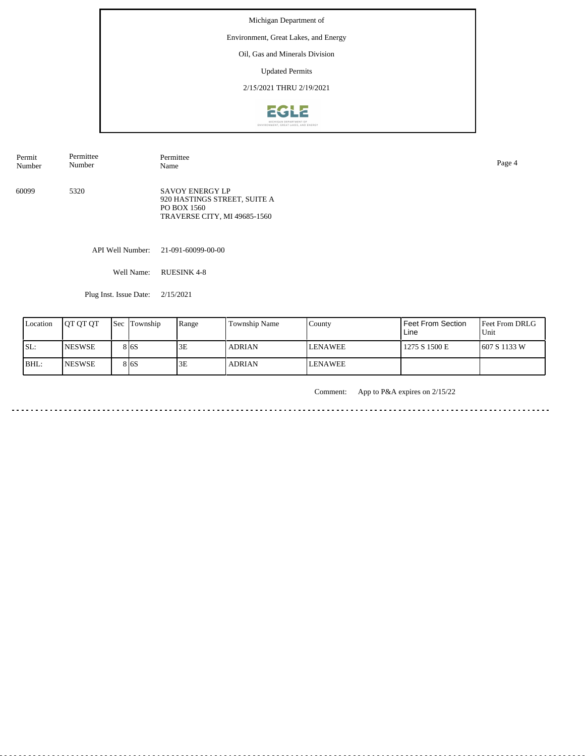## Environment, Great Lakes, and Energy

Oil, Gas and Minerals Division

Updated Permits

2/15/2021 THRU 2/19/2021



| Permit | Permittee | Permittee                                                                                             | Page 4 |
|--------|-----------|-------------------------------------------------------------------------------------------------------|--------|
| Number | Number    | Name                                                                                                  |        |
| 60099  | 5320      | <b>SAVOY ENERGY LP</b><br>920 HASTINGS STREET, SUITE A<br>PO BOX 1560<br>TRAVERSE CITY, MI 49685-1560 |        |

API Well Number: 21-091-60099-00-00

Well Name: RUESINK 4-8

Plug Inst. Issue Date: 2/15/2021

| Location | <b>IOT OT OT</b> | <b>Sec Township</b> | Range | Township Name | County         | Feet From Section<br>Line | <b>Feet From DRLG</b><br>l Unit |
|----------|------------------|---------------------|-------|---------------|----------------|---------------------------|---------------------------------|
| ISL:     | <b>INESWSE</b>   | 8 <sub>16</sub> S   | 3E    | <b>ADRIAN</b> | <b>LENAWEE</b> | 1275 S 1500 E             | 607 S 1133 W                    |
| BHL:     | <b>INESWSE</b>   | 8 <sub>16</sub> S   | 3E    | <b>ADRIAN</b> | <b>LENAWEE</b> |                           |                                 |

Comment: App to P&A expires on 2/15/22

<u>. . . . . . . . . . . . . . . . . .</u>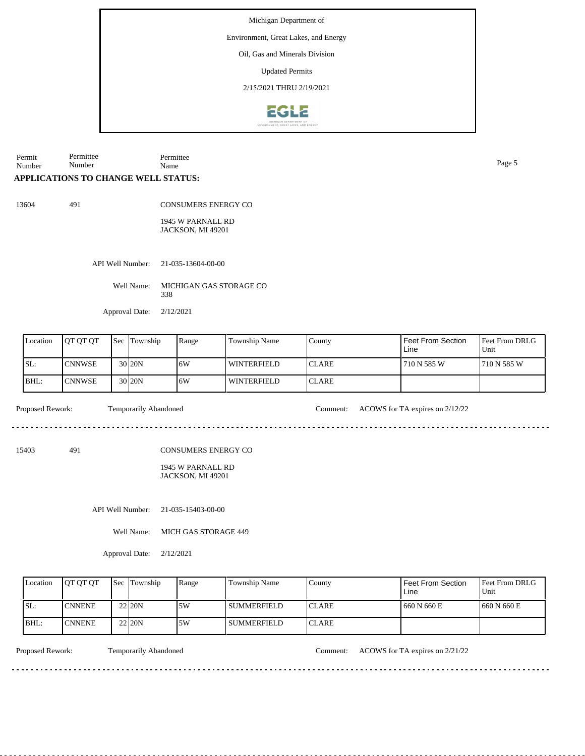Environment, Great Lakes, and Energy

Oil, Gas and Minerals Division

Updated Permits

2/15/2021 THRU 2/19/2021



Permit Number Permittee Name Page 5

## **APPLICATIONS TO CHANGE WELL STATUS:**

Permittee Number

13604 491

CONSUMERS ENERGY CO

1945 W PARNALL RD JACKSON, MI 49201

API Well Number: 21-035-13604-00-00

Well Name: MICHIGAN GAS STORAGE CO 338

Approval Date: 2/12/2021

| Location | <b>IOT OT OT</b> | Sec | Township          | Range | Township Name | County        | Feet From Section<br>Line | <b>Feet From DRLG</b><br>Unit |
|----------|------------------|-----|-------------------|-------|---------------|---------------|---------------------------|-------------------------------|
| ISL:     | <b>CNNWSE</b>    |     | 30 <sub>20N</sub> | 16W   | l winterfield | <b>ICLARE</b> | 710 N 585 W               | 1710 N 585 W                  |
| BHL:     | <b>CNNWSE</b>    |     | $30$  20N         | 16W   | l winterfield | <b>ICLARE</b> |                           |                               |

Proposed Rework: Temporarily Abandoned Comment: ACOWS for TA expires on 2/12/22

15403 491

CONSUMERS ENERGY CO

#### 1945 W PARNALL RD JACKSON, MI 49201

API Well Number: 21-035-15403-00-00

Well Name: MICH GAS STORAGE 449

Approval Date: 2/12/2021

| Location | <b>OT OT OT</b> | <b>Sec</b> Township | Range | Township Name | County        | Feet From Section<br>Line | Feet From DRLG<br>Unit |
|----------|-----------------|---------------------|-------|---------------|---------------|---------------------------|------------------------|
| SL:      | <b>ICNNENE</b>  | 22 20N              | ا 5W  | l summerfield | <b>ICLARE</b> | 660 N 660 E               | 1660 N 660 E           |
| BHL:     | <b>ICNNENE</b>  | 22 20N              | .5W   | SUMMERFIELD   | <b>ICLARE</b> |                           |                        |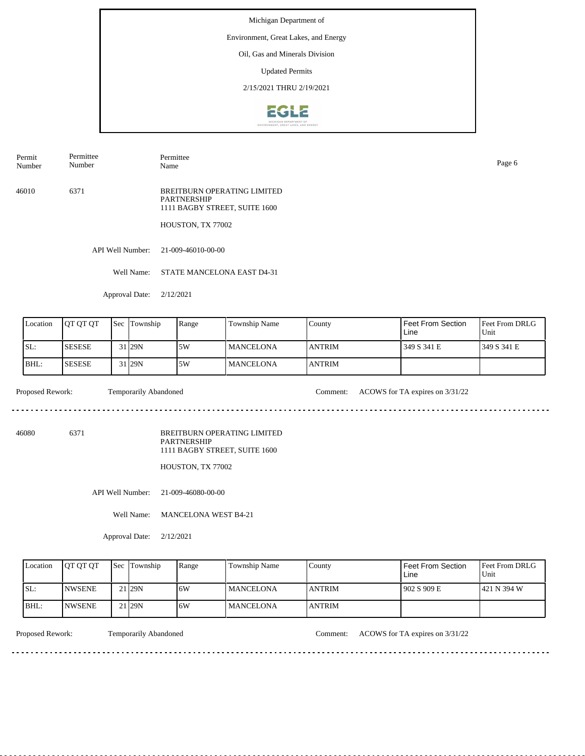### Environment, Great Lakes, and Energy

Oil, Gas and Minerals Division

Updated Permits

2/15/2021 THRU 2/19/2021



Permit Number Permittee Number

Permittee Name Page 6

46010 6371 BREITBURN OPERATING LIMITED PARTNERSHIP 1111 BAGBY STREET, SUITE 1600

HOUSTON, TX 77002

API Well Number: 21-009-46010-00-00

Well Name: STATE MANCELONA EAST D4-31

Approval Date: 2/12/2021

| Location | <b>OT OT OT</b> | <b>Sec</b> | Township           | Range | Township Name    | County         | Feet From Section<br>Line | <b>Feet From DRLG</b><br>Unit |
|----------|-----------------|------------|--------------------|-------|------------------|----------------|---------------------------|-------------------------------|
| SL:      | <b>SESESE</b>   |            | 31 <sub>129N</sub> | 5W    | <b>MANCELONA</b> | <b>LANTRIM</b> | 349 S 341 E               | 1349 S 341 E                  |
| BHL:     | <b>SESESE</b>   |            | 31 <sub>129N</sub> | 5W    | <b>MANCELONA</b> | <b>ANTRIM</b>  |                           |                               |

 $\mathcal{L}^{\mathcal{L}}\left( \mathcal{L}^{\mathcal{L}}\left( \mathcal{L}^{\mathcal{L}}\right) \right) =\mathcal{L}^{\mathcal{L}}\left( \mathcal{L}^{\mathcal{L}}\right)$ 

Proposed Rework: Temporarily Abandoned Comment: ACOWS for TA expires on  $3/31/22$ 

<u>. . . . . . . . . . .</u>

46080 6371

BREITBURN OPERATING LIMITED PARTNERSHIP 1111 BAGBY STREET, SUITE 1600

HOUSTON, TX 77002

API Well Number: 21-009-46080-00-00

Well Name: MANCELONA WEST B4-21

Approval Date: 2/12/2021

| Location    | <b>OT OT OT</b> | <b>Sec Township</b> | Range | Township Name     | County        | Feet From Section<br>Line | <b>Feet From DRLG</b><br>Unit |
|-------------|-----------------|---------------------|-------|-------------------|---------------|---------------------------|-------------------------------|
| ISL:        | <b>INWSENE</b>  | 21 <sub>29N</sub>   | 6W    | <b>IMANCELONA</b> | <b>ANTRIM</b> | 1902 S 909 E              | 1421 N 394 W                  |
| <b>BHL:</b> | <b>INWSENE</b>  | 21 <sub>129N</sub>  | 6W    | <b>MANCELONA</b>  | <b>ANTRIM</b> |                           |                               |

<u>. . . . . . . .</u>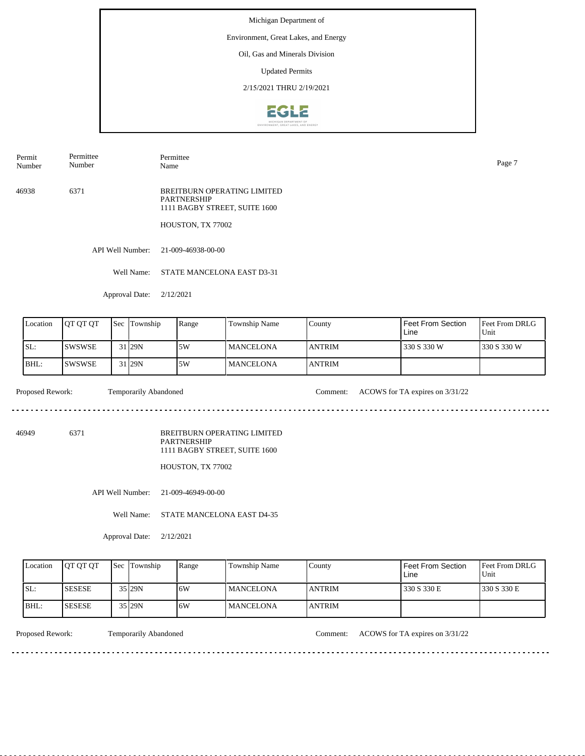### Environment, Great Lakes, and Energy

Oil, Gas and Minerals Division

Updated Permits

2/15/2021 THRU 2/19/2021



Permit Number Permittee Number

Permittee Name Page 7

46938 6371 BREITBURN OPERATING LIMITED PARTNERSHIP 1111 BAGBY STREET, SUITE 1600

HOUSTON, TX 77002

API Well Number: 21-009-46938-00-00

Well Name: STATE MANCELONA EAST D3-31

Approval Date: 2/12/2021

| Location | <b>JOT OT OT</b> | 'Sec | Township           | Range | Township Name     | County        | Feet From Section<br>Line | <b>IFeet From DRLG</b><br>Unit |
|----------|------------------|------|--------------------|-------|-------------------|---------------|---------------------------|--------------------------------|
| SL:      | ISWSWSE          |      | 31 <sub>29N</sub>  | 5W    | <b>IMANCELONA</b> | <b>ANTRIM</b> | 330 S 330 W               | 1330 S 330 W                   |
| BHL:     | ISWSWSE          |      | 31 <sub>129N</sub> | .5W   | <b>MANCELONA</b>  | <b>ANTRIM</b> |                           |                                |

Proposed Rework: Temporarily Abandoned Comment: ACOWS for TA expires on  $3/31/22$ 

 $\mathcal{L}^{\mathcal{L}}\left( \mathcal{L}^{\mathcal{L}}\left( \mathcal{L}^{\mathcal{L}}\right) \right) =\mathcal{L}^{\mathcal{L}}\left( \mathcal{L}^{\mathcal{L}}\right)$ 

<u>. . . . . . . . . . .</u>

46949 6371

BREITBURN OPERATING LIMITED PARTNERSHIP 1111 BAGBY STREET, SUITE 1600

HOUSTON, TX 77002

API Well Number: 21-009-46949-00-00

Well Name: STATE MANCELONA EAST D4-35

Approval Date: 2/12/2021

| Location | <b>OT OT OT</b> | <b>Sec</b> Township | Range | Township Name    | County         | <b>Feet From Section</b><br>Line | <b>Feet From DRLG</b><br>'Unit |
|----------|-----------------|---------------------|-------|------------------|----------------|----------------------------------|--------------------------------|
| ISL:     | <b>SESESE</b>   | 35 29N              | 6W    | <b>MANCELONA</b> | <b>LANTRIM</b> | 330 S 330 E                      | 330 S 330 E                    |
| IBHL:    | <b>ISESESE</b>  | 35 29N              | 6W    | <b>MANCELONA</b> | <b>LANTRIM</b> |                                  |                                |

Proposed Rework: Temporarily Abandoned Comment: ACOWS for TA expires on  $3/31/22$ 

<u>. . . . . . . .</u>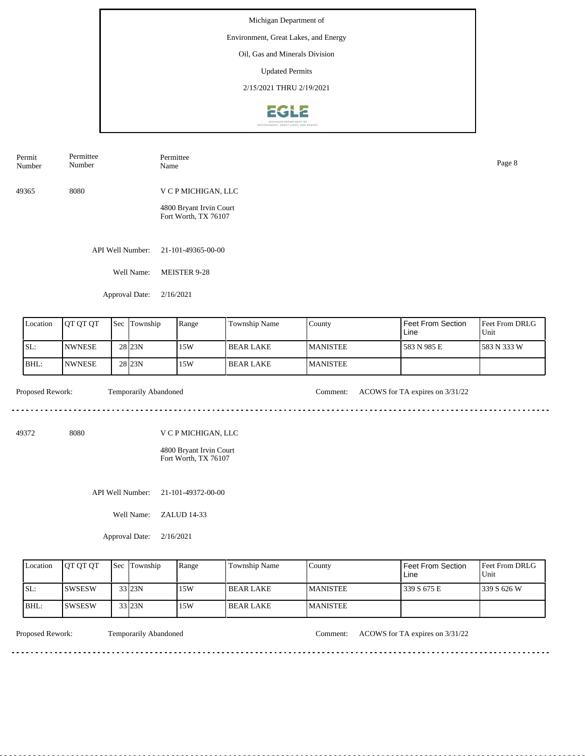Environment, Great Lakes, and Energy

Oil, Gas and Minerals Division

Updated Permits

2/15/2021 THRU 2/19/2021



| Permit<br>Number | Permittee<br>Number | Permittee<br>Name                               | Page 8 |
|------------------|---------------------|-------------------------------------------------|--------|
| 49365            | 8080                | V C P MICHIGAN, LLC                             |        |
|                  |                     | 4800 Bryant Irvin Court<br>Fort Worth, TX 76107 |        |

API Well Number: 21-101-49365-00-00

Well Name: MEISTER 9-28

Approval Date: 2/16/2021

| Location | <b>JOT OT OT</b> | <b>Sec Township</b> | Range | Township Name    | County          | Feet From Section<br>Line | <b>Feet From DRLG</b><br>l Unit |
|----------|------------------|---------------------|-------|------------------|-----------------|---------------------------|---------------------------------|
| ISL:     | <b>INWNESE</b>   | 28 <sub>23N</sub>   | 15W   | l BEAR LAKE      | <b>MANISTEE</b> | 583 N 985 E               | 583 N 333 W                     |
| BHL:     | <b>INWNESE</b>   | 28 <sub>23N</sub>   | 15W   | <b>BEAR LAKE</b> | <b>MANISTEE</b> |                           |                                 |

<u>. . . . . . . . . .</u>

Proposed Rework: Temporarily Abandoned Comment: ACOWS for TA expires on  $3/31/22$ 

<u>. . . . . . . . . . . . . . . . . .</u>

49372 8080

V C P MICHIGAN, LLC

4800 Bryant Irvin Court Fort Worth, TX 76107

API Well Number: 21-101-49372-00-00

Well Name: ZALUD 14-33

Approval Date: 2/16/2021

| Location | <b>IOT OT OT</b> | <b>Sec Township</b> | Range | Township Name | County           | Feet From Section<br>Line | <b>Feet From DRLG</b><br>Unit |
|----------|------------------|---------------------|-------|---------------|------------------|---------------------------|-------------------------------|
| ISL:     | <b>ISWSESW</b>   | 33 23N              | 15W   | I BEAR LAKE   | <b>IMANISTEE</b> | 339 S 675 E               | 1339 S 626 W                  |
| IBHL:    | ISWSESW          | 33 23N              | 15W   | I BEAR LAKE   | <b>IMANISTEE</b> |                           |                               |

<u>. . . . . . . . .</u>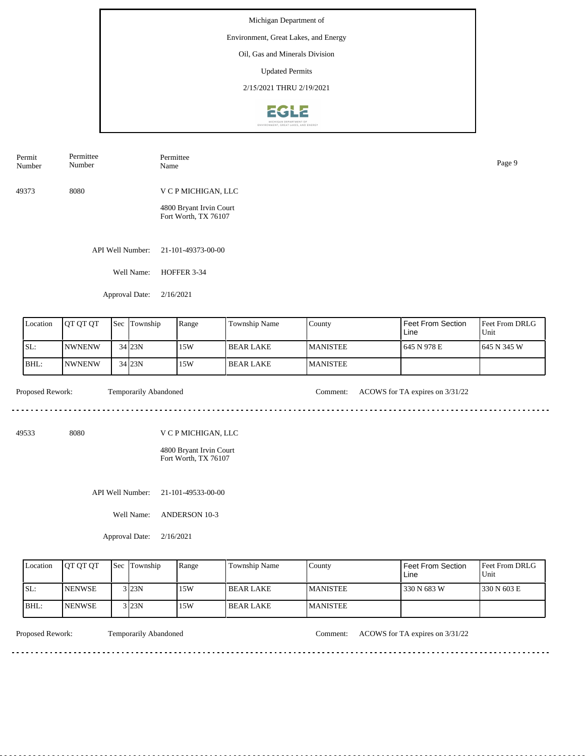Michigan Department of Environment, Great Lakes, and Energy Oil, Gas and Minerals Division

Updated Permits

2/15/2021 THRU 2/19/2021



| Permit<br>Number | Permittee<br>Number | Permittee<br>Name                                                      | Page 9 |
|------------------|---------------------|------------------------------------------------------------------------|--------|
| 49373            | 8080                | V C P MICHIGAN, LLC<br>4800 Bryant Irvin Court<br>Fort Worth, TX 76107 |        |
|                  | API Well Number:    | 21-101-49373-00-00                                                     |        |

Well Name: HOFFER 3-34

Approval Date: 2/16/2021

| Location | <b>OT OT OT</b> | l Sec | Township   | Range | Township Name | County          | I Feet From Section<br>Line | <b>Feet From DRLG</b><br>Unit |
|----------|-----------------|-------|------------|-------|---------------|-----------------|-----------------------------|-------------------------------|
| ISL:     | <b>INWNENW</b>  |       | $34$ $23N$ | 15W   | BEAR LAKE     | <b>MANISTEE</b> | 1 645 N 978 E               | 1645 N 345 W                  |
| BHL:     | <b>NWNENW</b>   |       | 34 23N     | 15W   | BEAR LAKE     | <b>MANISTEE</b> |                             |                               |

<u>. . . . . . . . . .</u>

Proposed Rework: Temporarily Abandoned Comment: ACOWS for TA expires on  $3/31/22$ 

49533 8080

V C P MICHIGAN, LLC

4800 Bryant Irvin Court Fort Worth, TX 76107

API Well Number: 21-101-49533-00-00

Well Name: ANDERSON 10-3

Approval Date: 2/16/2021

| Location | <b>IOT OT OT</b> | <b>Sec Township</b> | Range | Township Name | County           | Feet From Section<br>Line | <b>Feet From DRLG</b><br>Unit |
|----------|------------------|---------------------|-------|---------------|------------------|---------------------------|-------------------------------|
| ISL:     | <b>INENWSE</b>   | 3 23N               | 15W   | I BEAR LAKE   | <b>IMANISTEE</b> | 330 N 683 W               | 1330 N 603 E                  |
| $IBHL$ : | <b>INENWSE</b>   | 3 23N               | 15W   | I BEAR LAKE   | <b>IMANISTEE</b> |                           |                               |

<u>. . . . . . . . .</u>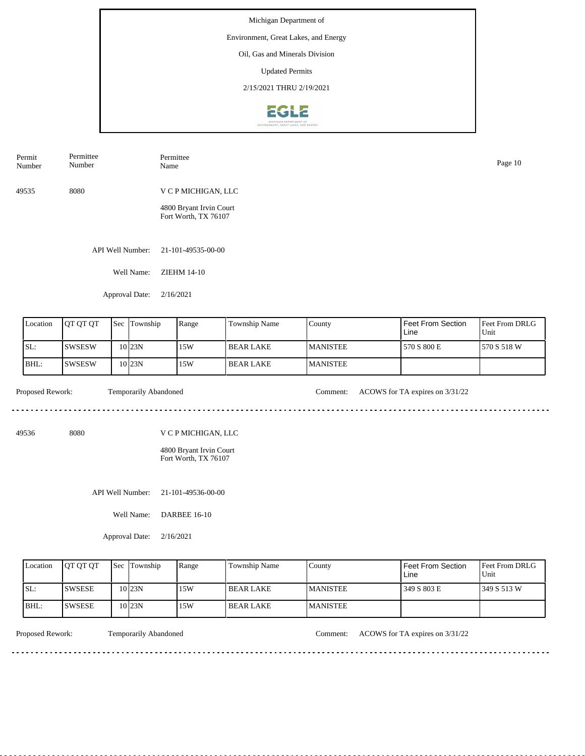Environment, Great Lakes, and Energy

Oil, Gas and Minerals Division

Updated Permits

2/15/2021 THRU 2/19/2021



| Permit<br>Number | Permittee<br>Number | Permittee<br>Name                               | Page 10 |
|------------------|---------------------|-------------------------------------------------|---------|
| 49535            | 8080                | V C P MICHIGAN, LLC                             |         |
|                  |                     | 4800 Bryant Irvin Court<br>Fort Worth, TX 76107 |         |

API Well Number: 21-101-49535-00-00

Well Name: ZIEHM 14-10

Approval Date: 2/16/2021

| Location | <b>IOT OT OT</b> | Sec Township       | Range | Township Name | County           | <b>Feet From Section</b><br>Line | <b>Feet From DRLG</b><br>Unit |
|----------|------------------|--------------------|-------|---------------|------------------|----------------------------------|-------------------------------|
| ISL:     | ISWSESW          | 10 <sub>123N</sub> | 15W   | l BEAR LAKE   | <b>IMANISTEE</b> | 570 S 800 E                      | 1570 S 518 W                  |
| BHL:     | <b>ISWSESW</b>   | 10 <sub>123N</sub> | 15W   | l BEAR LAKE   | <b>MANISTEE</b>  |                                  |                               |

<u>. . . . . . . . . .</u>

Proposed Rework: Temporarily Abandoned Comment: ACOWS for TA expires on  $3/31/22$ 

<u>. . . . . . . . . . . . . . . . . .</u>

49536 8080

V C P MICHIGAN, LLC

4800 Bryant Irvin Court Fort Worth, TX 76107

API Well Number: 21-101-49536-00-00

Well Name: DARBEE 16-10

Approval Date: 2/16/2021

| Location | <b>OT OT OT</b> | <b>Sec Township</b> | Range | Township Name | County           | Feet From Section<br>Line | <b>Feet From DRLG</b><br>Unit |
|----------|-----------------|---------------------|-------|---------------|------------------|---------------------------|-------------------------------|
| ISL:     | <b>ISWSESE</b>  | 10123N              | 15W   | I BEAR LAKE   | <b>IMANISTEE</b> | 349 S 803 E               | 1349 S 513 W                  |
| IBHL:    | <b>ISWSESE</b>  | 10123N              | 15W   | l BEAR LAKE   | <b>MANISTEE</b>  |                           |                               |

<u>. . . . . . . . .</u>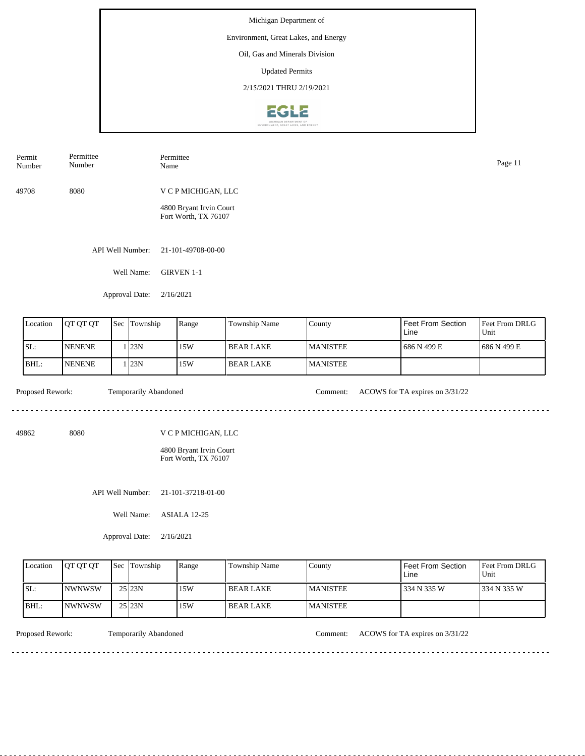Michigan Department of Environment, Great Lakes, and Energy Oil, Gas and Minerals Division Updated Permits 2/15/2021 THRU 2/19/2021**EGLE** 

| Permit<br>Number | Permittee<br>Number | Permittee<br>Name                               | Page 11 |
|------------------|---------------------|-------------------------------------------------|---------|
| 49708            | 8080                | V C P MICHIGAN, LLC                             |         |
|                  |                     | 4800 Bryant Irvin Court<br>Fort Worth, TX 76107 |         |
|                  | API Well Number:    | 21-101-49708-00-00                              |         |

Well Name: GIRVEN 1-1

Approval Date: 2/16/2021

| Location | <b>OT OT OT</b> | <b>Sec</b> | Township | Range | Township Name    | County           | Feet From Section<br>Line | <b>Feet From DRLG</b><br>Unit |
|----------|-----------------|------------|----------|-------|------------------|------------------|---------------------------|-------------------------------|
| SL:      | <b>NENENE</b>   |            | 123N     | 15W   | l BEAR LAKE      | <b>IMANISTEE</b> | 1686 N 499 E              | 1686 N 499 E                  |
| BHL:     | <b>NENENE</b>   |            | 23N      | 15W   | <b>BEAR LAKE</b> | <b>MANISTEE</b>  |                           |                               |

 $- - - - - -$ 

Proposed Rework: Temporarily Abandoned Comment: ACOWS for TA expires on  $3/31/22$ 

. . . . . . . . . . . . . . . . . . . .

<u>. . . . . . . . . . . . . . . . .</u>

49862 8080

V C P MICHIGAN, LLC

4800 Bryant Irvin Court Fort Worth, TX 76107

API Well Number: 21-101-37218-01-00

Well Name: ASIALA 12-25

Approval Date: 2/16/2021

| Location | <b>IOT OT OT</b> | <b>Sec</b> Township | Range | <b>Township Name</b> | Countv           | l Feet From Section<br>Line | <b>Feet From DRLG</b><br>Unit |
|----------|------------------|---------------------|-------|----------------------|------------------|-----------------------------|-------------------------------|
| ISL:     | <b>INWNWSW</b>   | $25$ <sub>23N</sub> | 15W   | <b>BEAR LAKE</b>     | <b>IMANISTEE</b> | 1334 N 335 W                | 1334 N 335 W                  |
| BHL:     | <b>INWNWSW</b>   | $25$ <sub>23N</sub> | 15W   | <b>BEAR LAKE</b>     | <b>MANISTEE</b>  |                             |                               |

Proposed Rework: Temporarily Abandoned Comment: ACOWS for TA expires on  $3/31/22$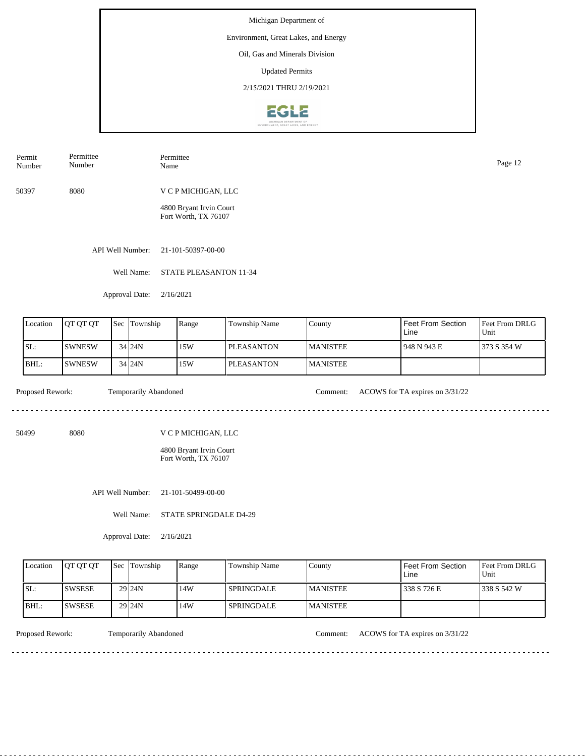### Environment, Great Lakes, and Energy

Oil, Gas and Minerals Division

Updated Permits

2/15/2021 THRU 2/19/2021



| Permit | Permittee | Permittee | Page 12 |
|--------|-----------|-----------|---------|
| Number | Number    | Name      |         |
|        |           |           |         |

50397 8080 V C P MICHIGAN, LLC

> 4800 Bryant Irvin Court Fort Worth, TX 76107

API Well Number: 21-101-50397-00-00

Well Name: STATE PLEASANTON 11-34

Approval Date: 2/16/2021

| Location | <b>IOT OT OT</b> | Sec | Township   | Range | Township Name | Countv          | l Feet From Section<br>Line | <b>Feet From DRLG</b><br>Unit |
|----------|------------------|-----|------------|-------|---------------|-----------------|-----------------------------|-------------------------------|
| ISL:     | ISWNESW          |     | 34 24N     | 15W   | l PLEASANTON  | <b>MANISTEE</b> | l 948 N 943 E               | 1373 S 354 W                  |
| IBHL:    | ISWNESW          |     | $34$ $24N$ | 15W   | l PLEASANTON- | <b>MANISTEE</b> |                             |                               |

<u>. . . . . . . . .</u>

Proposed Rework: Temporarily Abandoned Comment: ACOWS for TA expires on  $3/31/22$ 

<u>. . . . . . . . . . . . . . . . . .</u>

50499 8080

V C P MICHIGAN, LLC

4800 Bryant Irvin Court Fort Worth, TX 76107

API Well Number: 21-101-50499-00-00

Well Name: STATE SPRINGDALE D4-29

Approval Date: 2/16/2021

| Location | <b>IOT OT OT</b> | <b>Sec Township</b> | Range | Township Name     | County           | Feet From Section<br>Line | <b>Feet From DRLG</b><br>Unit |
|----------|------------------|---------------------|-------|-------------------|------------------|---------------------------|-------------------------------|
| ISL:     | <b>ISWSESE</b>   | $29$ $24N$          | 14W   | <b>SPRINGDALE</b> | <b>IMANISTEE</b> | 338 S 726 E               | 1338 S 542 W                  |
| IBHL:    | ISWSESE          | $29$ $24N$          | 14W   | <b>SPRINGDALE</b> | <b>MANISTEE</b>  |                           |                               |

<u>. . . . . . . . .</u>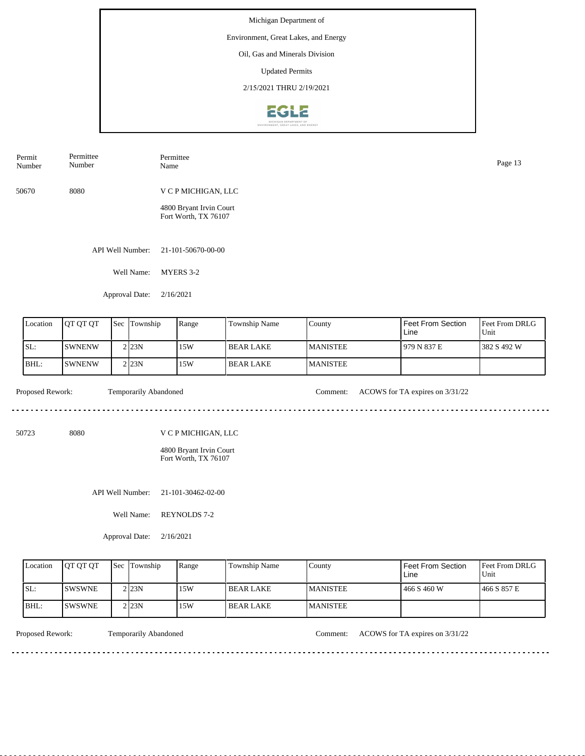Michigan Department of Environment, Great Lakes, and Energy Oil, Gas and Minerals Division

Updated Permits

2/15/2021 THRU 2/19/2021



| Permit<br>Number | Permittee<br>Number | Permittee<br>Name                               | Page 13 |
|------------------|---------------------|-------------------------------------------------|---------|
| 50670            | 8080                | V C P MICHIGAN, LLC                             |         |
|                  |                     | 4800 Bryant Irvin Court<br>Fort Worth, TX 76107 |         |
|                  |                     |                                                 |         |

API Well Number: 21-101-50670-00-00

Well Name: MYERS 3-2

Approval Date: 2/16/2021

| Location | <b>IOT OT OT</b> | 'Sec | : Township          | Range | <b>Township Name</b> | County           | l Feet From Section<br>Line | <b>IFeet From DRLG</b><br>Unit |
|----------|------------------|------|---------------------|-------|----------------------|------------------|-----------------------------|--------------------------------|
| ISL:     | <b>ISWNENW</b>   |      | $2$ <sub>23</sub> N | 15W   | <b>BEAR LAKE</b>     | <b>IMANISTEE</b> | 1979 N 837 E                | 382 S 492 W                    |
| BHL:     | <b>ISWNENW</b>   |      | $2$ <sub>23</sub> N | 15W   | <b>BEAR LAKE</b>     | <b>IMANISTEE</b> |                             |                                |

 $- - - - - -$ 

Proposed Rework: Temporarily Abandoned Comment: ACOWS for TA expires on  $3/31/22$ 

<u>. . . . . . . . . . . . . . . . .</u>

50723 8080

V C P MICHIGAN, LLC

4800 Bryant Irvin Court Fort Worth, TX 76107

API Well Number: 21-101-30462-02-00

Well Name: REYNOLDS 7-2

Approval Date: 2/16/2021

| Location | <b>IOT OT OT</b> | <b>Sec Township</b> | Range | Township Name | County           | Feet From Section<br>Line | <b>Feet From DRLG</b><br>Unit |
|----------|------------------|---------------------|-------|---------------|------------------|---------------------------|-------------------------------|
| ISL:     | <b>ISWSWNE</b>   | 2 23N               | 15W   | I BEAR LAKE   | <b>IMANISTEE</b> | 466 S 460 W               | 466 S 857 E                   |
| IBHL:    | <b>ISWSWNE</b>   | 2 23N               | 15W   | I BEAR LAKE   | <b>IMANISTEE</b> |                           |                               |

<u>. . . . . . . . .</u>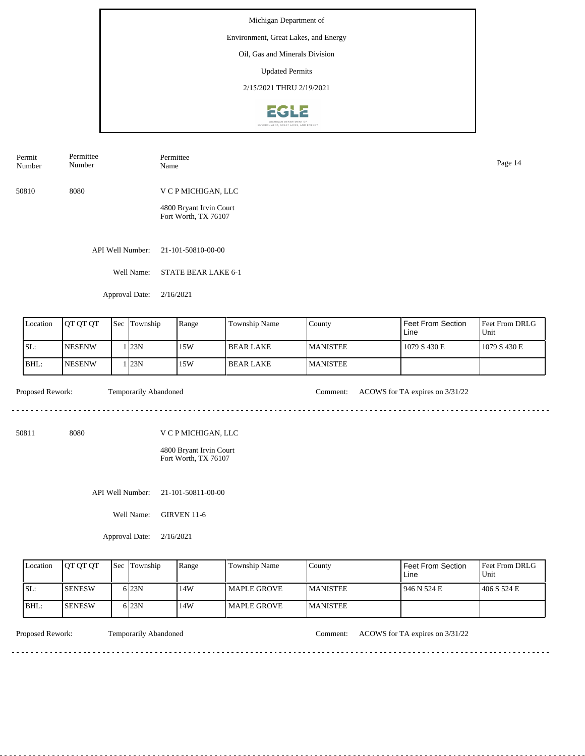### Environment, Great Lakes, and Energy

Oil, Gas and Minerals Division

Updated Permits

2/15/2021 THRU 2/19/2021



50810 8080 V C P MICHIGAN, LLC Permit Number Permittee Number Permittee Name Page 14

> 4800 Bryant Irvin Court Fort Worth, TX 76107

API Well Number: 21-101-50810-00-00

Well Name: STATE BEAR LAKE 6-1

Approval Date: 2/16/2021

| Location         | <b>OT OT OT</b> | Sec Township          | Range | Township Name    | County          | l Feet From Section<br>l Line   | Feet From DRLG<br>Unit |
|------------------|-----------------|-----------------------|-------|------------------|-----------------|---------------------------------|------------------------|
| SL:              | <b>INESENW</b>  | . 123N                | 15W   | <b>BEAR LAKE</b> | <b>MANISTEE</b> | 1079 S 430 E                    | 1079 S 430 E           |
| BHL:             | <b>INESENW</b>  | 123N                  | 15W   | l BEAR LAKE      | <b>MANISTEE</b> |                                 |                        |
| Proposed Rework: |                 | Temporarily Abandoned |       |                  | Comment:        | ACOWS for TA expires on 3/31/22 |                        |

50811 8080

V C P MICHIGAN, LLC

4800 Bryant Irvin Court Fort Worth, TX 76107

API Well Number: 21-101-50811-00-00

Well Name: GIRVEN 11-6

Approval Date: 2/16/2021

| Location | <b>IOT OT OT</b> | <b>Sec</b> Township | Range | Township Name       | County           | Feet From Section<br>Line | <b>Feet From DRLG</b><br>Unit |
|----------|------------------|---------------------|-------|---------------------|------------------|---------------------------|-------------------------------|
| ISL:     | <b>ISENESW</b>   | 6 23N               | 14W   | <b>IMAPLE GROVE</b> | <b>IMANISTEE</b> | 946 N 524 E               | 1406 S 524 E                  |
| IBHL:    | <b>ISENESW</b>   | 6 <sub>23N</sub>    | 14W   | l MAPLE GROVE       | <b>IMANISTEE</b> |                           |                               |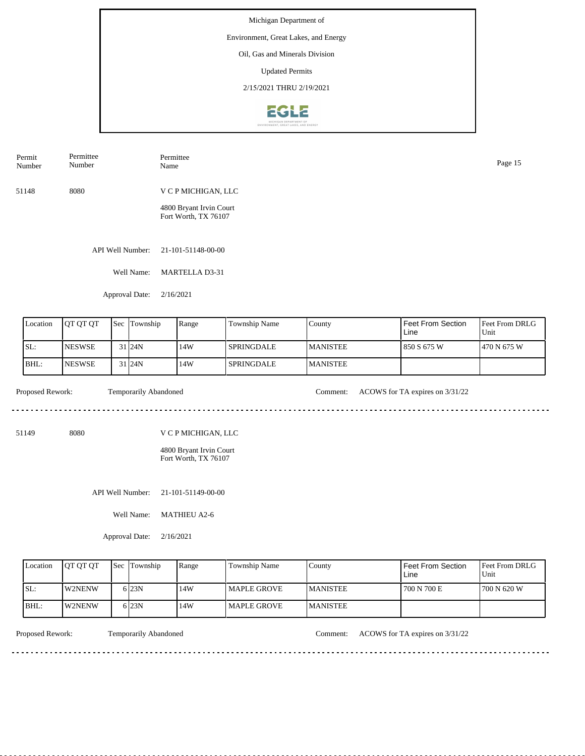Environment, Great Lakes, and Energy

Oil, Gas and Minerals Division

Updated Permits

2/15/2021 THRU 2/19/2021



| Permit<br>Number | Permittee<br>Number | Permittee<br>Name                               | Page 15 |
|------------------|---------------------|-------------------------------------------------|---------|
| 51148            | 8080                | V C P MICHIGAN, LLC                             |         |
|                  |                     | 4800 Bryant Irvin Court<br>Fort Worth, TX 76107 |         |

API Well Number: 21-101-51148-00-00

Well Name: MARTELLA D3-31

Approval Date: 2/16/2021

| Location | <b>IOT OT OT</b> | Sec Township       | Range | Township Name     | County           | l Feet From Section<br>Line | <b>Feet From DRLG</b><br>Unit |
|----------|------------------|--------------------|-------|-------------------|------------------|-----------------------------|-------------------------------|
| SL:      | <b>INESWSE</b>   | 31 <sub>124N</sub> | 14W   | <b>SPRINGDALE</b> | <b>IMANISTEE</b> | 1850 S 675 W                | 1470 N 675 W                  |
| BHL:     | <b>INESWSE</b>   | 31 <sub>124N</sub> | 14W   | <b>SPRINGDALE</b> | <b>MANISTEE</b>  |                             |                               |

. . . . . . . . . . .

Proposed Rework: Temporarily Abandoned Comment: ACOWS for TA expires on  $3/31/22$ 

51149 8080

V C P MICHIGAN, LLC

4800 Bryant Irvin Court Fort Worth, TX 76107

API Well Number: 21-101-51149-00-00

Well Name: MATHIEU A2-6

Approval Date: 2/16/2021

| Location    | <b>OT OT OT</b> | <b>Sec Township</b> | Range | Township Name | County          | Feet From Section<br>Line | <b>Feet From DRLG</b><br>Unit |
|-------------|-----------------|---------------------|-------|---------------|-----------------|---------------------------|-------------------------------|
| ISL:        | <b>IW2NENW</b>  | 6 23N               | 14W   | l MAPLE GROVE | <b>MANISTEE</b> | 700 N 700 E               | 1700 N 620 W                  |
| <b>BHL:</b> | <b>IW2NENW</b>  | 6 23N               | 14W   | l MAPLE GROVE | <b>MANISTEE</b> |                           |                               |

<u>. . . . . . . . .</u>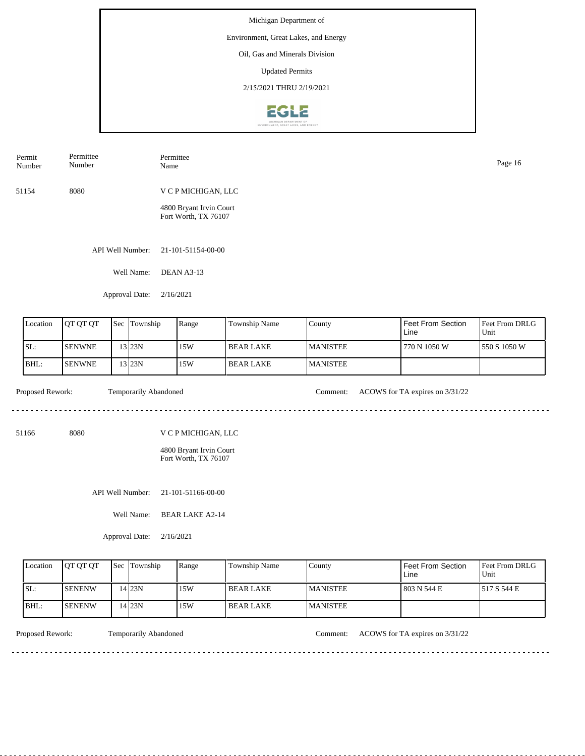Environment, Great Lakes, and Energy

Oil, Gas and Minerals Division

Updated Permits

2/15/2021 THRU 2/19/2021



| Permit<br>Number | Permittee<br>Number | Permittee<br>Name                               | Page 16 |
|------------------|---------------------|-------------------------------------------------|---------|
| 51154            | 8080                | V C P MICHIGAN, LLC                             |         |
|                  |                     | 4800 Bryant Irvin Court<br>Fort Worth, TX 76107 |         |

API Well Number: 21-101-51154-00-00

Well Name: DEAN A3-13

Approval Date: 2/16/2021

| Location | <b>IOT OT OT</b> | <b>Sec Township</b> | Range | Township Name    | County          | l Feet From Section<br>Line | <b>IFeet From DRLG</b><br>Unit |
|----------|------------------|---------------------|-------|------------------|-----------------|-----------------------------|--------------------------------|
| SL:      | <b>ISENWNE</b>   | 13 23N              | 15W   | <b>BEAR LAKE</b> | <b>MANISTEE</b> | 770 N 1050 W                | 1550 S 1050 W                  |
| BHL:     | <b>ISENWNE</b>   | 13 I 23 N           | 15W   | <b>BEAR LAKE</b> | <b>MANISTEE</b> |                             |                                |

. . . . . . .

Proposed Rework: Temporarily Abandoned Comment: ACOWS for TA expires on  $3/31/22$ 

51166 8080

V C P MICHIGAN, LLC

4800 Bryant Irvin Court Fort Worth, TX 76107

API Well Number: 21-101-51166-00-00

Well Name: BEAR LAKE A2-14

Approval Date: 2/16/2021

| Location | <b>OT OT OT</b> | <b>Sec Township</b> | Range | Township Name     | County           | Feet From Section<br>Line | <b>Feet From DRLG</b><br>Unit |
|----------|-----------------|---------------------|-------|-------------------|------------------|---------------------------|-------------------------------|
| ISL:     | <b>ISENENW</b>  | 14 23N              | 15W   | <b>IBEAR LAKE</b> | <b>IMANISTEE</b> | 1803 N 544 E              | 1517 S 544 E                  |
| IBHL:    | <b>ISENENW</b>  | 4 <sup>23N</sup>    | 15W   | I BEAR LAKE       | <b>IMANISTEE</b> |                           |                               |

<u>. . . . . . . .</u>

Proposed Rework: Temporarily Abandoned Comment: ACOWS for TA expires on  $3/31/22$ 

<u>. . . . . . . . . . . . . . . . .</u>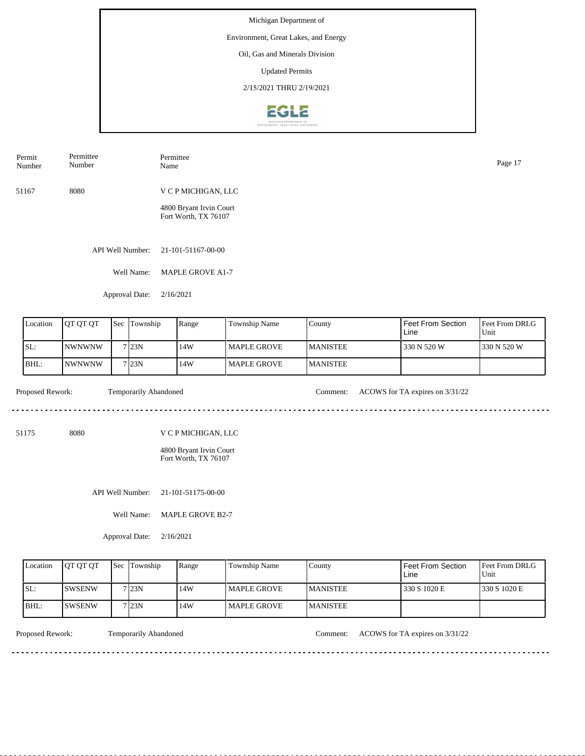## Environment, Great Lakes, and Energy

Oil, Gas and Minerals Division

Updated Permits

2/15/2021 THRU 2/19/2021



| Permit | Permittee | Permittee           | Page 17 |
|--------|-----------|---------------------|---------|
| Number | Number    | Name                |         |
| 51167  | 8080      | V C P MICHIGAN, LLC |         |

4800 Bryant Irvin Court Fort Worth, TX 76107

API Well Number: 21-101-51167-00-00

Well Name: MAPLE GROVE A1-7

Approval Date: 2/16/2021

| Location | <b>IOT OT OT</b> | <b>Sec</b> | Township | Range | Township Name | County          | l Feet From Section<br>Line | Feet From DRLG<br>Unit |
|----------|------------------|------------|----------|-------|---------------|-----------------|-----------------------------|------------------------|
| SL:      | INWNWNW          |            | 7123N    | 14W   | l MAPLE GROVE | <b>MANISTEE</b> | 1330 N 520 W                | 1330 N 520 W           |
| BHL:     | <b>NWNWNW</b>    |            | 7123N    | 14W   | l MAPLE GROVE | <b>MANISTEE</b> |                             |                        |

<u>. . . . . . .</u>

Proposed Rework: Temporarily Abandoned Comment: ACOWS for TA expires on  $3/31/22$ 

. . . . . . . . . . . . . . . . . . . .

<u>. . . . . . . . . . . . . . . . .</u>

51175 8080

V C P MICHIGAN, LLC

4800 Bryant Irvin Court Fort Worth, TX 76107

API Well Number: 21-101-51175-00-00

Well Name: MAPLE GROVE B2-7

Approval Date: 2/16/2021

| Location | <b>IOT OT OT</b> | <b>Sec Township</b> | Range | Township Name | County           | Feet From Section<br>Line | <b>Feet From DRLG</b><br>Unit |
|----------|------------------|---------------------|-------|---------------|------------------|---------------------------|-------------------------------|
| ISL:     | <b>ISWSENW</b>   | 7 23N               | 14W   | l MAPLE GROVE | <b>IMANISTEE</b> | 330 S 1020 E              | 1330 S 1020 E                 |
| IBHL:    | <b>ISWSENW</b>   | 7123N               | 14W   | l MAPLE GROVE | <b>IMANISTEE</b> |                           |                               |

<u>. . . . . . . .</u>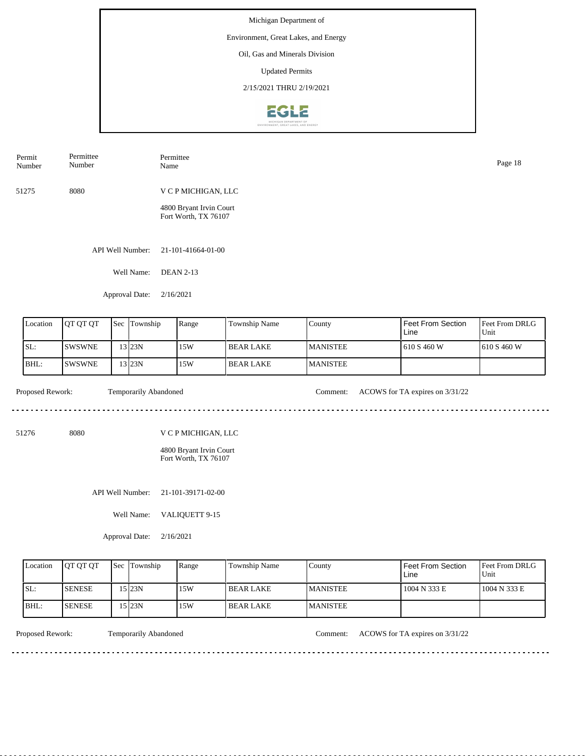Michigan Department of Environment, Great Lakes, and Energy Oil, Gas and Minerals Division Updated Permits 2/15/2021 THRU 2/19/2021**EGLE** 

| Permit<br>Number | Permittee<br>Number | Permittee<br>Name                               | Page 18 |
|------------------|---------------------|-------------------------------------------------|---------|
| 51275            | 8080                | V C P MICHIGAN, LLC                             |         |
|                  |                     | 4800 Bryant Irvin Court<br>Fort Worth, TX 76107 |         |
|                  | API Well Number:    | 21-101-41664-01-00                              |         |
|                  | Well Name:          | <b>DEAN 2-13</b>                                |         |

Feet From DRLG Unit 610 S 460 W 610 S 460 W Feet From Section Line County MANISTEE MANISTEE Location | QT QT QT | Sec | Township | Range | Township Name SL: BHL: SWSWNE SWSWNE Sec Township 13 23N 13 23N 15W 15W BEAR LAKE BEAR LAKE

<u>. . . . . . .</u>

Proposed Rework: Temporarily Abandoned Comment: ACOWS for TA expires on  $3/31/22$ 

. . . . . . . . . . . . . . . . . . .

51276 8080

V C P MICHIGAN, LLC

4800 Bryant Irvin Court Fort Worth, TX 76107

API Well Number: 21-101-39171-02-00

Well Name: VALIQUETT 9-15

Approval Date: 2/16/2021

Approval Date: 2/16/2021

| Location | <b>OT OT OT</b> | <b>Sec</b> Township | Range | <b>Township Name</b> | County           | <b>Feet From Section</b><br>∟ine | <b>Feet From DRLG</b><br>Unit |
|----------|-----------------|---------------------|-------|----------------------|------------------|----------------------------------|-------------------------------|
| ISL:     | <b>ISENESE</b>  | 15123N              | 15W   | I BEAR LAKE          | <b>IMANISTEE</b> | 1004 N 333 E                     | 1004 N 333 E                  |
| IBHL:    | <b>ISENESE</b>  | 15 23N              | 15W   | I BEAR LAKE          | <b>IMANISTEE</b> |                                  |                               |

Proposed Rework: Temporarily Abandoned Comment: ACOWS for TA expires on  $3/31/22$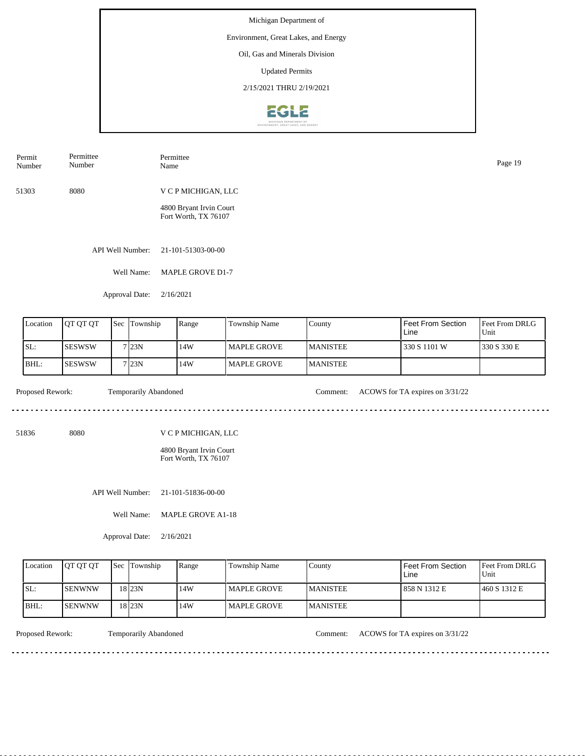### Environment, Great Lakes, and Energy

Oil, Gas and Minerals Division

Updated Permits

2/15/2021 THRU 2/19/2021



| Permit<br>Number | Permittee<br>Number | Permittee<br>Name       | Page 19 |
|------------------|---------------------|-------------------------|---------|
| 51303            | 8080                | V C P MICHIGAN, LLC     |         |
|                  |                     | 4800 Bryant Irvin Court |         |

Fort Worth, TX 76107

API Well Number: 21-101-51303-00-00

Well Name: MAPLE GROVE D1-7

Approval Date: 2/16/2021

| Location | JOT OT OT      | Sec | Township | Range | Township Name | County           | Feet From Section<br>Line | <b>Feet From DRLG</b><br>Unit |
|----------|----------------|-----|----------|-------|---------------|------------------|---------------------------|-------------------------------|
| SL:      | ISESWSW        |     | 7 23N    | 14W   | l MAPLE GROVE | <b>IMANISTEE</b> | 330 S 1101 W              | 1330 S 330 E                  |
| BHL:     | <b>ISESWSW</b> |     | 7 23N    | 14W   | l MAPLE GROVE | <b>MANISTEE</b>  |                           |                               |

. . . . . . . . . . .

Proposed Rework: Temporarily Abandoned Comment: ACOWS for TA expires on  $3/31/22$ 

51836 8080

V C P MICHIGAN, LLC

4800 Bryant Irvin Court Fort Worth, TX 76107

API Well Number: 21-101-51836-00-00

Well Name: MAPLE GROVE A1-18

Approval Date: 2/16/2021

| Location | <b>OT OT OT</b> | <b>Sec Township</b> | Range | Township Name | County           | Feet From Section<br>Line | <b>Feet From DRLG</b><br>Unit |
|----------|-----------------|---------------------|-------|---------------|------------------|---------------------------|-------------------------------|
| ISL:     | <b>ISENWNW</b>  | 18 23N              | 14W   | l MAPLE GROVE | <b>IMANISTEE</b> | 1 858 N 1312 E            | 460 S 1312 E                  |
| IBHL:    | <b>ISENWNW</b>  | 18 23N              | 14W   | l MAPLE GROVE | <b>MANISTEE</b>  |                           |                               |

<u>. . . . . . . . .</u>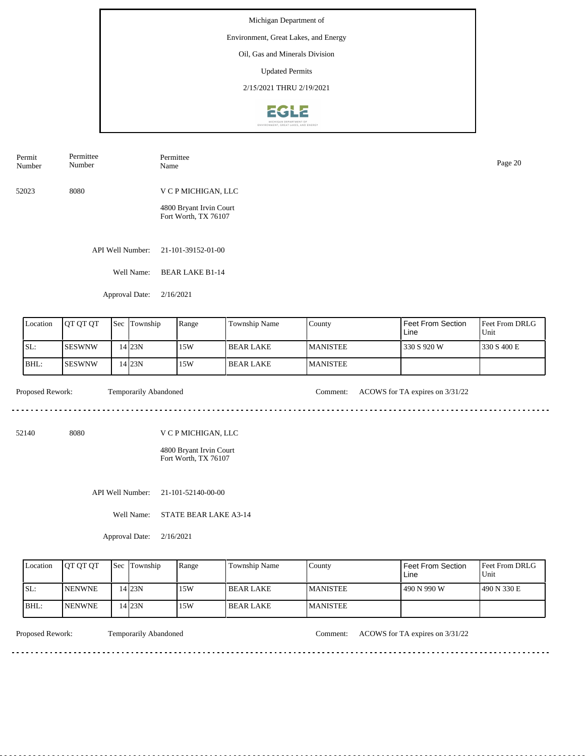## Environment, Great Lakes, and Energy

Oil, Gas and Minerals Division

Updated Permits

2/15/2021 THRU 2/19/2021



| Permit<br>Number | Permittee<br>Number | Permittee<br>Name                               | Page 20 |
|------------------|---------------------|-------------------------------------------------|---------|
| 52023            | 8080                | V C P MICHIGAN, LLC                             |         |
|                  |                     | 4800 Bryant Irvin Court<br>Fort Worth, TX 76107 |         |

API Well Number: 21-101-39152-01-00

Well Name: BEAR LAKE B1-14

Approval Date: 2/16/2021

| Location | <b>OT OT OT</b> | l Sec | Township | Range | Township Name | County           | Feet From Section<br>Line | <b>Feet From DRLG</b><br>Unit |
|----------|-----------------|-------|----------|-------|---------------|------------------|---------------------------|-------------------------------|
| SL:      | ISESWNW         |       | 4 23N    | 15W   | I BEAR LAKE   | <b>IMANISTEE</b> | 330 S 920 W               | 1330 S 400 E                  |
| BHL:     | ISESWNW         |       | 4 23N    | 15W   | l BEAR LAKE   | <b>MANISTEE</b>  |                           |                               |

. . . . . . .

Proposed Rework: Temporarily Abandoned Comment: ACOWS for TA expires on  $3/31/22$ 

. . . . . . . . . . . . . . . . . . . .

<u>. . . . . . . . . . . . . . . . .</u>

52140 8080

V C P MICHIGAN, LLC

4800 Bryant Irvin Court Fort Worth, TX 76107

API Well Number: 21-101-52140-00-00

Well Name: STATE BEAR LAKE A3-14

Approval Date: 2/16/2021

| Location | <b>OT OT OT</b> | <b>Sec Township</b> | Range | <b>Township Name</b> | County           | <b>Feet From Section</b><br>∟ine | <b>Feet From DRLG</b><br>Unit |
|----------|-----------------|---------------------|-------|----------------------|------------------|----------------------------------|-------------------------------|
| ISL:     | <b>INENWNE</b>  | .4 23N              | 15W   | I BEAR LAKE          | <b>IMANISTEE</b> | 490 N 990 W                      | 1490 N 330 E                  |
| BHL:     | <b>INENWNE</b>  | .4 23N              | 15W   | I BEAR LAKE          | <b>IMANISTEE</b> |                                  |                               |

<u>. . . . . . . .</u>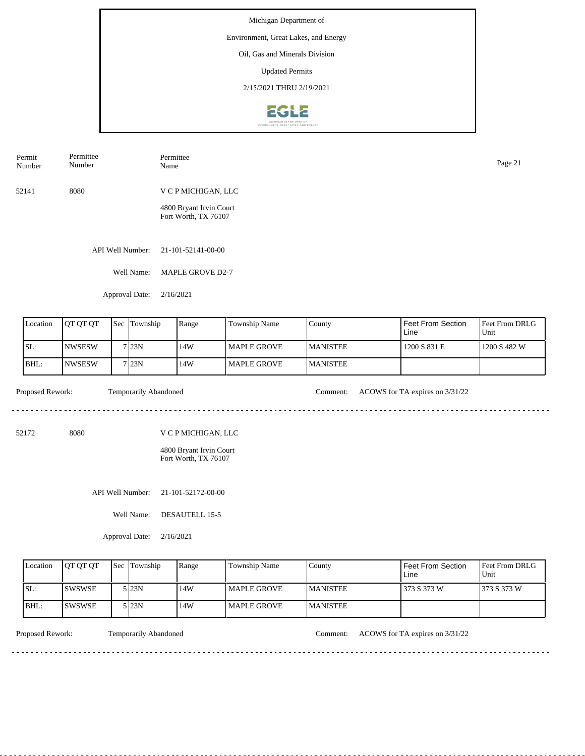### Environment, Great Lakes, and Energy

Oil, Gas and Minerals Division

Updated Permits

2/15/2021 THRU 2/19/2021



| Permit | Permittee | Permittee           | Page 21 |
|--------|-----------|---------------------|---------|
| Number | Number    | Name                |         |
| 52141  | 8080      | V C P MICHIGAN, LLC |         |

4800 Bryant Irvin Court Fort Worth, TX 76107

API Well Number: 21-101-52141-00-00

Well Name: MAPLE GROVE D2-7

Approval Date: 2/16/2021

| Location | <b>OT QT QT</b> | Sec Township      | Range | Township Name | County           | Feet From Section<br>Line | <b>Feet From DRLG</b><br>Unit |
|----------|-----------------|-------------------|-------|---------------|------------------|---------------------------|-------------------------------|
| SL:      | <b>INWSESW</b>  | 7 <sub>123N</sub> | l 14W | l MAPLE GROVE | <b>IMANISTEE</b> | 1200 S 831 E              | 1200 S 482 W                  |
| BHL:     | <b>INWSESW</b>  | 7123N             | l 14W | l MAPLE GROVE | <b>IMANISTEE</b> |                           |                               |

. . . . . . . . . . .

Proposed Rework: Temporarily Abandoned Comment: ACOWS for TA expires on  $3/31/22$ 

52172 8080

V C P MICHIGAN, LLC

4800 Bryant Irvin Court Fort Worth, TX 76107

API Well Number: 21-101-52172-00-00

Well Name: DESAUTELL 15-5

Approval Date: 2/16/2021

| Location    | <b>OT OT OT</b> | <b>Sec Township</b> | Range | Township Name | County          | Feet From Section<br>Line | <b>Feet From DRLG</b><br>Unit |
|-------------|-----------------|---------------------|-------|---------------|-----------------|---------------------------|-------------------------------|
| ISL:        | ISWSWSE         | 5 I23N              | 14W   | l MAPLE GROVE | <b>MANISTEE</b> | 373 S 373 W               | 373 S 373 W                   |
| <b>BHL:</b> | <b>ISWSWSE</b>  | 5 I23N              | 14W   | l MAPLE GROVE | <b>MANISTEE</b> |                           |                               |

<u>. . . . . . . . .</u>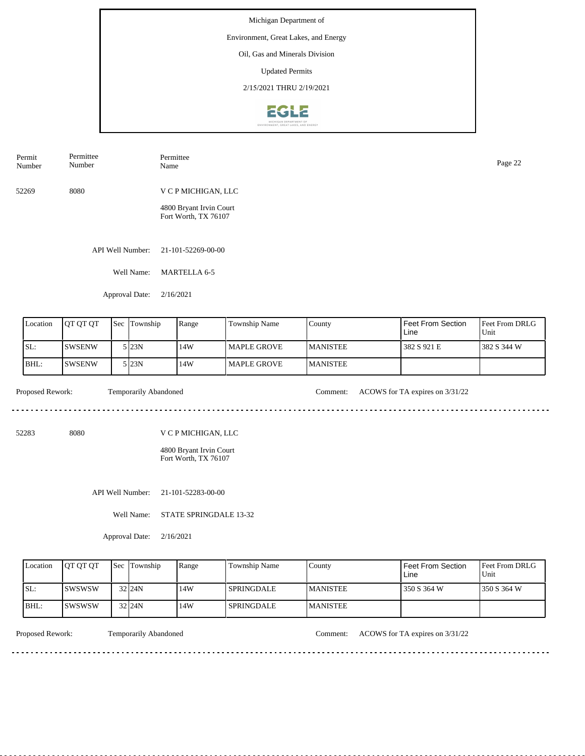Environment, Great Lakes, and Energy

Oil, Gas and Minerals Division

Updated Permits

2/15/2021 THRU 2/19/2021



52269 8080 V C P MICHIGAN, LLC 4800 Bryant Irvin Court Fort Worth, TX 76107 Permit Number Permittee Number Permittee Page 22<br>Name Page 22

API Well Number: 21-101-52269-00-00

Well Name: MARTELLA 6-5

Approval Date: 2/16/2021

| Location | <b>IOT OT OT</b> | Sec | Township | Range | <b>Township Name</b> | County          | l Feet From Section<br>Line | <b>Feet From DRLG</b><br>Unit |
|----------|------------------|-----|----------|-------|----------------------|-----------------|-----------------------------|-------------------------------|
| SL:      | <b>SWSENW</b>    |     | 5 I23N   | 14W   | l MAPLE GROVE        | <b>MANISTEE</b> | 1382 S 921 E                | 1382 S 344 W                  |
| BHL:     | <b>SWSENW</b>    |     | 5 I23N   | 14W   | l MAPLE GROVE        | <b>MANISTEE</b> |                             |                               |

<u>. . . . . . . . . . . . . . . . . . .</u>

 $\mathcal{L}^{\mathcal{L}}\left( \mathcal{L}^{\mathcal{L}}\left( \mathcal{L}^{\mathcal{L}}\right) \right) =\mathcal{L}^{\mathcal{L}}\left( \mathcal{L}^{\mathcal{L}}\right)$ 

Proposed Rework: Temporarily Abandoned Comment: ACOWS for TA expires on  $3/31/22$ 

52283 8080

V C P MICHIGAN, LLC

4800 Bryant Irvin Court Fort Worth, TX 76107

API Well Number: 21-101-52283-00-00

Well Name: STATE SPRINGDALE 13-32

Approval Date: 2/16/2021

| Location | <b>IOT OT OT</b> | <b>Sec Township</b> | Range | Township Name     | County           | Feet From Section<br>Line | <b>Feet From DRLG</b><br>Unit |
|----------|------------------|---------------------|-------|-------------------|------------------|---------------------------|-------------------------------|
| ISL:     | <b>ISWSWSW</b>   | $32$ <sub>24N</sub> | 14W   | <b>SPRINGDALE</b> | <b>IMANISTEE</b> | 350 S 364 W               | 1350 S 364 W                  |
| IBHL:    | ISWSWSW          | $32$ <sub>24N</sub> | 14W   | <b>SPRINGDALE</b> | <b>MANISTEE</b>  |                           |                               |

<u>. . . . . . . .</u>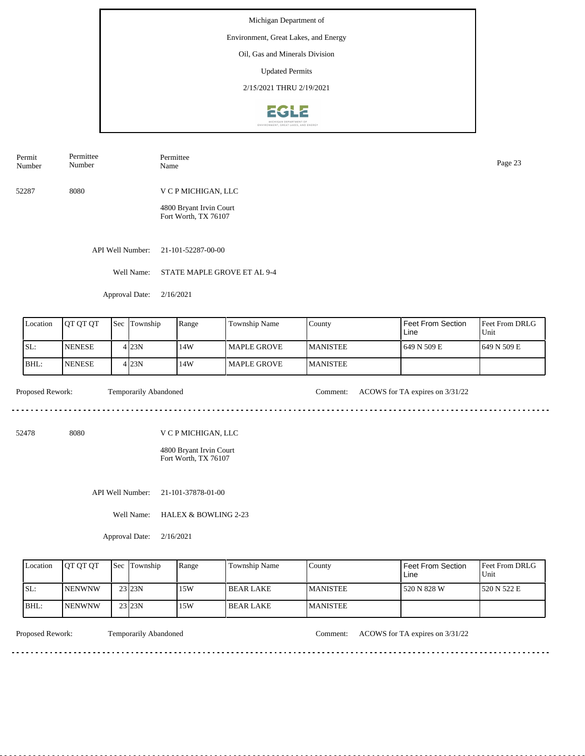### Environment, Great Lakes, and Energy

Oil, Gas and Minerals Division

Updated Permits

2/15/2021 THRU 2/19/2021



| Permit<br>Number | Permittee<br>Number | Permittee<br>Name | Page 23 |
|------------------|---------------------|-------------------|---------|
|                  |                     |                   |         |

52287 8080 V C P MICHIGAN, LLC

> 4800 Bryant Irvin Court Fort Worth, TX 76107

API Well Number: 21-101-52287-00-00

Well Name: STATE MAPLE GROVE ET AL 9-4

Approval Date: 2/16/2021

| Location | IOT OT OT     | Sec Township | Range | Township Name | County           | l Feet From Section<br>l Line | Feet From DRLG<br>Unit |
|----------|---------------|--------------|-------|---------------|------------------|-------------------------------|------------------------|
| SL:      | <b>NENESE</b> | 4123N        | .14W  | MAPLE GROVE   | <b>IMANISTEE</b> | 1649 N 509 E                  | 1649 N 509 E           |
| BHL:     | <b>NENESE</b> | 4123N        | 14W   | MAPLE GROVE   | <b>MANISTEE</b>  |                               |                        |

<u>. . . . . . . . .</u>

Proposed Rework: Temporarily Abandoned Comment: ACOWS for TA expires on  $3/31/22$ 

<u>. . . . . . . . . . . . . . . . .</u>

52478 8080

V C P MICHIGAN, LLC

4800 Bryant Irvin Court Fort Worth, TX 76107

API Well Number: 21-101-37878-01-00

Well Name: HALEX & BOWLING 2-23

Approval Date: 2/16/2021

| Location | <b>IOT OT OT</b> | <b>Sec Township</b> | Range | Township Name | County           | Feet From Section<br>Line | <b>Feet From DRLG</b><br>Unit |
|----------|------------------|---------------------|-------|---------------|------------------|---------------------------|-------------------------------|
| ISL:     | <b>INENWNW</b>   | 23 23N              | 15W   | I BEAR LAKE   | <b>IMANISTEE</b> | 520 N 828 W               | 1520 N 522 E                  |
| BHL:     | <b>INENWNW</b>   | 23 23N              | 15W   | I BEAR LAKE   | <b>IMANISTEE</b> |                           |                               |

<u>. . . . . . . .</u>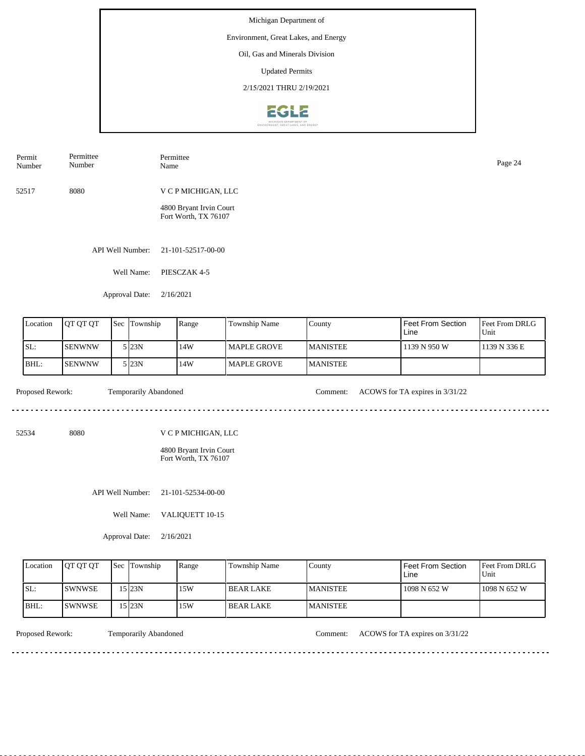Environment, Great Lakes, and Energy

Oil, Gas and Minerals Division

Updated Permits

2/15/2021 THRU 2/19/2021



| Permit<br>Number | Permittee<br>Number | Permittee<br>Name                               | Page 24 |
|------------------|---------------------|-------------------------------------------------|---------|
| 52517            | 8080                | V C P MICHIGAN, LLC                             |         |
|                  |                     | 4800 Bryant Irvin Court<br>Fort Worth, TX 76107 |         |

API Well Number: 21-101-52517-00-00

Well Name: PIESCZAK 4-5

Approval Date: 2/16/2021

| Location | <b>IOT OT OT</b> | <b>Sec</b> | Township         | Range | <b>Township Name</b> | County           | l Feet From Section<br>Line | Feet From DRLG<br>Unit |
|----------|------------------|------------|------------------|-------|----------------------|------------------|-----------------------------|------------------------|
| SL:      | <b>SENWNW</b>    |            | 5 I23N           | 14W   | l MAPLE GROVE        | <b>MANISTEE</b>  | l 1139 N 950 W              | 1139 N 336 E           |
| BHL:     | <b>SENWNW</b>    |            | 5 <sub>23N</sub> | 14W   | l MAPLE GROVE        | <b>IMANISTEE</b> |                             |                        |

 $- - - - - -$ 

Proposed Rework: Temporarily Abandoned Comment: ACOWS for TA expires in 3/31/22

<u>. . . . . . . . . . . . . . . . . . .</u>

<u>. . . . . . . . . . . . . . . . .</u>

52534 8080

V C P MICHIGAN, LLC

4800 Bryant Irvin Court Fort Worth, TX 76107

API Well Number: 21-101-52534-00-00

Well Name: VALIQUETT 10-15

Approval Date: 2/16/2021

| Location | <b>IOT OT OT</b> | <b>Sec Township</b> | Range | Township Name | County           | Feet From Section<br>Line | <b>Feet From DRLG</b><br>Unit |
|----------|------------------|---------------------|-------|---------------|------------------|---------------------------|-------------------------------|
| ISL:     | ISWNWSE          | 15 23N              | 15W   | I BEAR LAKE   | <b>IMANISTEE</b> | 1098 N 652 W              | 1098 N 652 W                  |
| BHL:     | ISWNWSE          | '5123N              | 15W   | I BEAR LAKE   | <b>IMANISTEE</b> |                           |                               |

<u>. . . . . . . . .</u>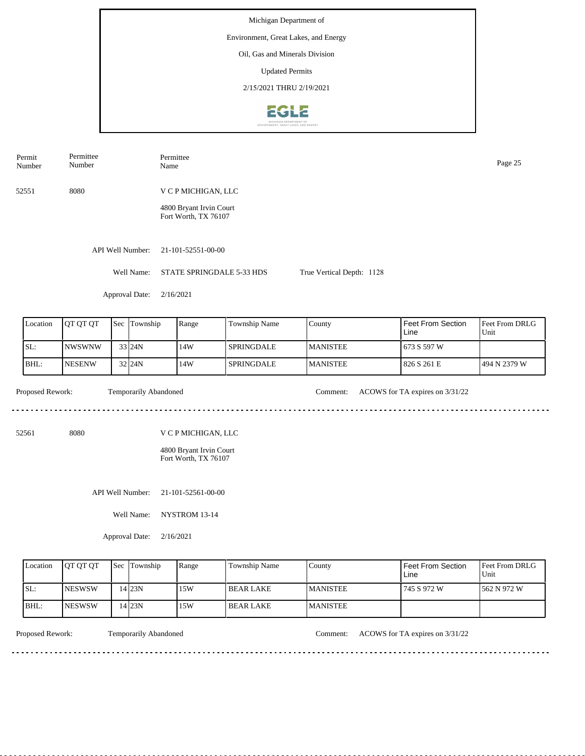Michigan Department of Environment, Great Lakes, and Energy Oil, Gas and Minerals Division Updated Permits 2/15/2021 THRU 2/19/20212612

Permittee Number Name Page 25 Number 52551 8080 V C P MICHIGAN, LLC 4800 Bryant Irvin Court Fort Worth, TX 76107 API Well Number: 21-101-52551-00-00 Well Name: STATE SPRINGDALE 5-33 HDS True Vertical Depth: 1128 Approval Date: 2/16/2021 Feet From Section Location | QT QT QT | Sec | Township | Range | Township Name Sec Township County Feet From DRLG Unit Line SL: NWSWNW 14W SPRINGDALE MANISTEE 673 S 597 W 33 24N BHL: NESENW 32 24N 14W SPRINGDALE MANISTEE 826 S 261 E 494 N 2379 W Proposed Rework: Temporarily Abandoned Comment: ACOWS for TA expires on  $3/31/22$ Temporarily Abandoned <u>. . . . . . .</u> . . . . . . . . . . . . . . . . . . . 52561 8080 V C P MICHIGAN, LLC 4800 Bryant Irvin Court Fort Worth, TX 76107

API Well Number: 21-101-52561-00-00

Well Name: NYSTROM 13-14

Approval Date: 2/16/2021

| Location | <b>IOT OT OT</b> | <b>Sec Township</b> | Range | <b>Township Name</b> | County          | Feet From Section<br>Line | <b>Feet From DRLG</b><br>Unit |
|----------|------------------|---------------------|-------|----------------------|-----------------|---------------------------|-------------------------------|
| ISL:     | <b>NESWSW</b>    | 14 23N              | 15W   | l BEAR LAKE          | <b>MANISTEE</b> | 745 S 972 W               | 1562 N 972 W                  |
| BHL:     | <b>NESWSW</b>    | 4 23N               | 15W   | I BEAR LAKE          | <b>MANISTEE</b> |                           |                               |

<u>. . . . . . . . . . . . . .</u>

<u>. . . . . . . .</u>

Permit

Permittee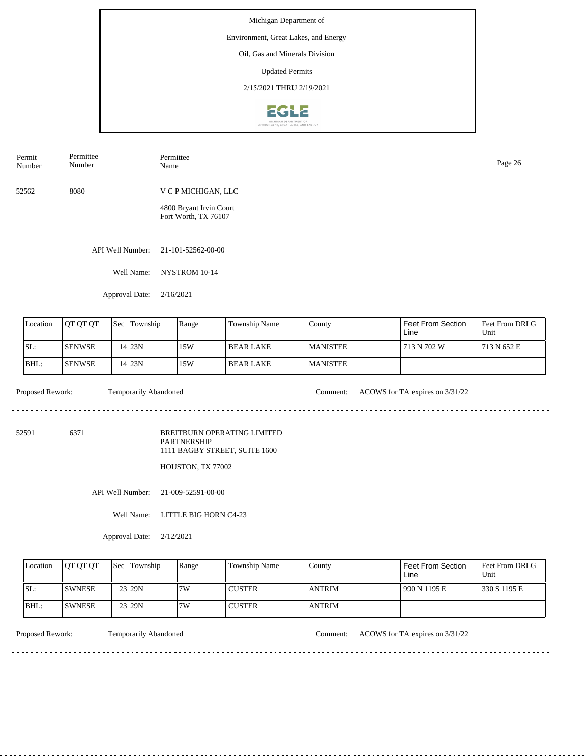## Environment, Great Lakes, and Energy

Oil, Gas and Minerals Division

Updated Permits

2/15/2021 THRU 2/19/2021



| Permit<br>Number | Permittee<br>Number | Permittee<br>Name                               | Page 26 |
|------------------|---------------------|-------------------------------------------------|---------|
| 52562            | 8080                | V C P MICHIGAN, LLC                             |         |
|                  |                     | 4800 Bryant Irvin Court<br>Fort Worth, TX 76107 |         |

API Well Number: 21-101-52562-00-00

Well Name: NYSTROM 10-14

Approval Date: 2/16/2021

| Location | <b>OT OT OT</b> | <b>Sec</b> | Township | Range | Township Name | County           | Feet From Section<br>Line | <b>Feet From DRLG</b><br>Unit |
|----------|-----------------|------------|----------|-------|---------------|------------------|---------------------------|-------------------------------|
| SL:      | <b>SENWSE</b>   |            | 14 23 N  | 15W   | l BEAR LAKE   | <b>IMANISTEE</b> | 713 N 702 W               | 1713 N 652 E                  |
| BHL:     | <b>SENWSE</b>   |            | 4 23N    | 15W   | BEAR LAKE     | <b>MANISTEE</b>  |                           |                               |

 $- - - - - -$ 

Proposed Rework: Temporarily Abandoned Comment: ACOWS for TA expires on  $3/31/22$ 

52591 6371

BREITBURN OPERATING LIMITED PARTNERSHIP 1111 BAGBY STREET, SUITE 1600

HOUSTON, TX 77002

API Well Number: 21-009-52591-00-00

Well Name: LITTLE BIG HORN C4-23

Approval Date: 2/12/2021

| Location | <b>IOT OT OT</b> | <b>Sec Township</b> | Range | Township Name | County         | Feet From Section<br>∟ine | <b>Feet From DRLG</b><br>Unit |
|----------|------------------|---------------------|-------|---------------|----------------|---------------------------|-------------------------------|
| ISL:     | <b>SWNESE</b>    | 23 29N              | 7W    | <b>CUSTER</b> | <b>ANTRIM</b>  | 990 N 1195 E              | 1330 S 1195 E                 |
| IBHL:    | ISWNESE          | 23 29N              | 7W    | <b>CUSTER</b> | <b>LANTRIM</b> |                           |                               |

. . . . . . . .

Proposed Rework: Temporarily Abandoned Comment: ACOWS for TA expires on  $3/31/22$ 

<u>. . . . . . . . . . .</u>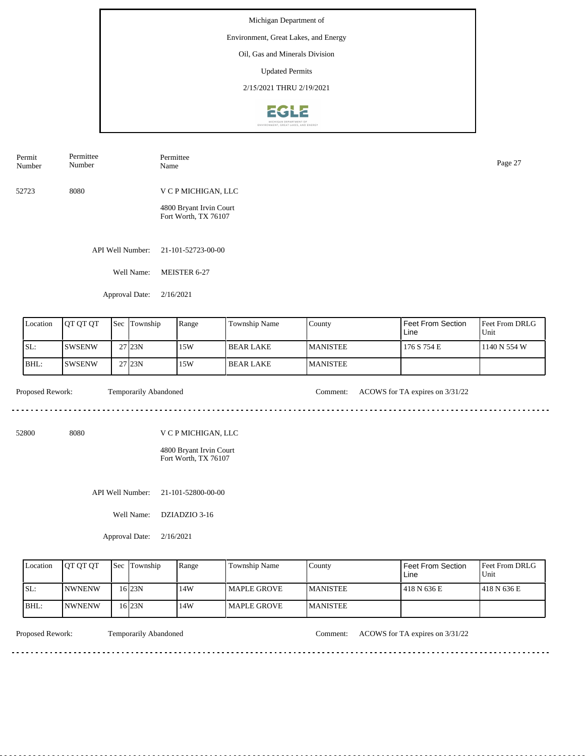Michigan Department of Environment, Great Lakes, and Energy Oil, Gas and Minerals Division Updated Permits 2/15/2021 THRU 2/19/2021

**EGLE** 

| Permit<br>Number | Permittee<br>Number | Permittee<br>Name                               | Page 27 |
|------------------|---------------------|-------------------------------------------------|---------|
| 52723            | 8080                | V C P MICHIGAN, LLC                             |         |
|                  |                     | 4800 Bryant Irvin Court<br>Fort Worth, TX 76107 |         |
|                  |                     |                                                 |         |

API Well Number: 21-101-52723-00-00

Well Name: MEISTER 6-27

Approval Date: 2/16/2021

|     | Location | <b>JOT OT OT</b> | Sec | Township            | Range | <b>Township Name</b> | County           | I Feet From Section<br>Line | <b>IFeet From DRLG</b><br>Unit |
|-----|----------|------------------|-----|---------------------|-------|----------------------|------------------|-----------------------------|--------------------------------|
| SL: |          | <b>SWSENW</b>    |     | $27$ <sub>23N</sub> | 15W   | l BEAR LAKE          | <b>IMANISTEE</b> | 176 S 754 E                 | 1140 N 554 W                   |
|     | BHL:     | ISWSENW          |     | 27 <sub>123N</sub>  | 15W   | I BEAR LAKE          | <b>MANISTEE</b>  |                             |                                |

<u>. . . . . . .</u>

Proposed Rework: Temporarily Abandoned Comment: ACOWS for TA expires on  $3/31/22$ 

<u>. . . . . . . . . . . . . . . . . . .</u>

<u>. . . . . . . . . . . . . . . . .</u>

52800 8080

V C P MICHIGAN, LLC

4800 Bryant Irvin Court Fort Worth, TX 76107

API Well Number: 21-101-52800-00-00

Well Name: DZIADZIO 3-16

Approval Date: 2/16/2021

| Location | <b>IOT OT OT</b> | <b>Sec Township</b> | Range | <b>Township Name</b> | County           | <b>Feet From Section</b><br>∟ine | <b>Feet From DRLG</b><br>Unit |
|----------|------------------|---------------------|-------|----------------------|------------------|----------------------------------|-------------------------------|
| ISL:     | <b>INWNENW</b>   | 16 23 N             | 14W   | <b>IMAPLE GROVE</b>  | <b>IMANISTEE</b> | 418 N 636 E                      | 1418 N 636 E                  |
| BHL:     | <b>INWNENW</b>   | 16 23N              | 14W   | <b>I MAPLE GROVE</b> | <b>IMANISTEE</b> |                                  |                               |

Proposed Rework: Temporarily Abandoned Comment: ACOWS for TA expires on  $3/31/22$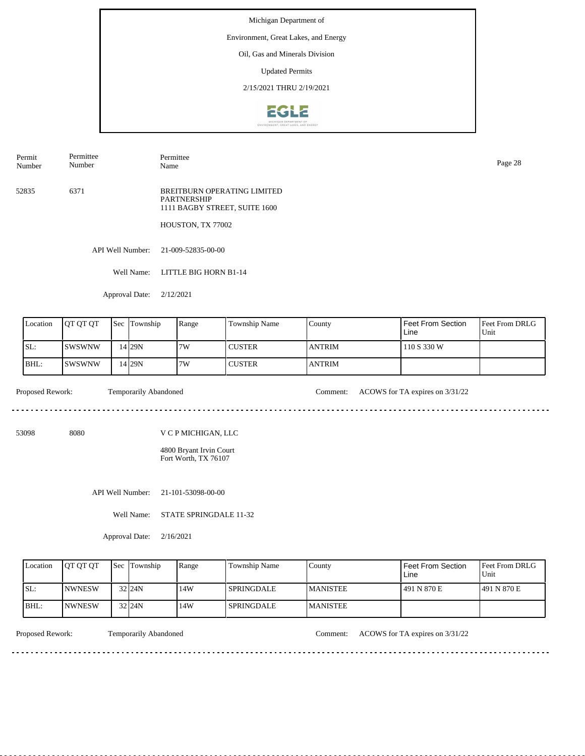### Environment, Great Lakes, and Energy

Oil, Gas and Minerals Division

Updated Permits

2/15/2021 THRU 2/19/2021



Permit Number Permittee Number

Permittee Name Page 28

52835 6371 BREITBURN OPERATING LIMITED PARTNERSHIP 1111 BAGBY STREET, SUITE 1600

HOUSTON, TX 77002

API Well Number: 21-009-52835-00-00

Well Name: LITTLE BIG HORN B1-14

Approval Date: 2/12/2021

| Location | <b>OT OT OT</b> | <b>Sec Township</b> | Range | Township Name | County        | Feet From Section<br>Line | <b>Feet From DRLG</b><br>Unit |
|----------|-----------------|---------------------|-------|---------------|---------------|---------------------------|-------------------------------|
| SL:      | ISWSWNW         | 14 29N              | 7W    | <b>CUSTER</b> | <b>ANTRIM</b> | 110 S 330 W               |                               |
| BHL:     | ISWSWNW         | 14 29N              | 7W    | <b>CUSTER</b> | <b>ANTRIM</b> |                           |                               |

<u>. . . . . . .</u>

Proposed Rework: Temporarily Abandoned Comment: ACOWS for TA expires on  $3/31/22$ 

<u>. . . . . . . . . . .</u>

53098 8080

V C P MICHIGAN, LLC

4800 Bryant Irvin Court Fort Worth, TX 76107

API Well Number: 21-101-53098-00-00

Well Name: STATE SPRINGDALE 11-32

Approval Date: 2/16/2021

| Location    | <b>IOT OT OT</b> | <b>Sec Township</b> | Range | Township Name     | County           | Feet From Section<br>Line | <b>Feet From DRLG</b><br>Unit |
|-------------|------------------|---------------------|-------|-------------------|------------------|---------------------------|-------------------------------|
| ISL:        | <b>INWNESW</b>   | $32$ <sub>24N</sub> | 14W   | <b>SPRINGDALE</b> | <b>IMANISTEE</b> | 1491 N 870 E              | 1491 N 870 E                  |
| <b>BHL:</b> | <b>INWNESW</b>   | $32$ <sub>24N</sub> | 14W   | <b>SPRINGDALE</b> | <b>MANISTEE</b>  |                           |                               |

Proposed Rework: Temporarily Abandoned Comment: ACOWS for TA expires on  $3/31/22$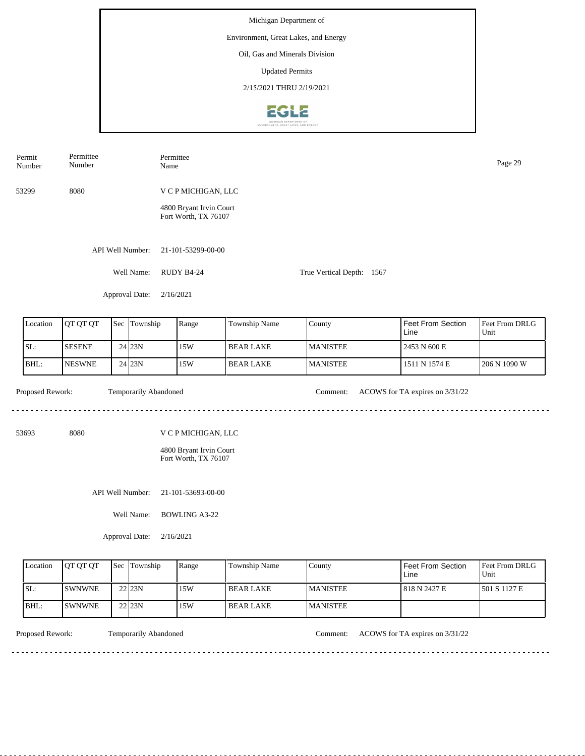Michigan Department of Environment, Great Lakes, and Energy Oil, Gas and Minerals Division Updated Permits 2/15/2021 THRU 2/19/20212612

Permittee Number Name Page 29 Number 53299 8080 V C P MICHIGAN, LLC 4800 Bryant Irvin Court Fort Worth, TX 76107 API Well Number: 21-101-53299-00-00 Well Name: RUDY B4-24 True Vertical Depth: 1567 Approval Date: 2/16/2021 Feet From Section Feet From DRLG Location | QT QT QT | Sec | Township | Range | Township Name Sec Township County Unit Line SL: SESENE 15W BEAR LAKE MANISTEE 2453 N 600 E 24 23N BHL: NESWNE 23N 15W BEAR LAKE MANISTEE 1511 N 1574 E 206 N 1090 W 24 Proposed Rework: Temporarily Abandoned Comment: ACOWS for TA expires on  $3/31/22$ Temporarily Abandoned <u>. . . . . . .</u> 53693 8080 V C P MICHIGAN, LLC 4800 Bryant Irvin Court Fort Worth, TX 76107 API Well Number: 21-101-53693-00-00 Well Name: BOWLING A3-22

Approval Date: 2/16/2021

| Location | IOT OT OT     | Sec | <b>Township</b>     | Range | Township Name | County          | Feet From Section<br>Line | <b>Feet From DRLG</b><br>Unit |
|----------|---------------|-----|---------------------|-------|---------------|-----------------|---------------------------|-------------------------------|
| SL:      | <b>SWNWNE</b> |     | 22 23N              | 15W   | l BEAR LAKE   | <b>MANISTEE</b> | 1818 N 2427 E             | 1501 S 1127 E                 |
| BHL:     | <b>SWNWNE</b> |     | $22$ <sub>23N</sub> | 15W   | l BEAR LAKE   | <b>MANISTEE</b> |                           |                               |

<u>. . . . . . . . . . . . . . .</u>

Permit

Permittee

Proposed Rework: Temporarily Abandoned Comment: ACOWS for TA expires on  $3/31/22$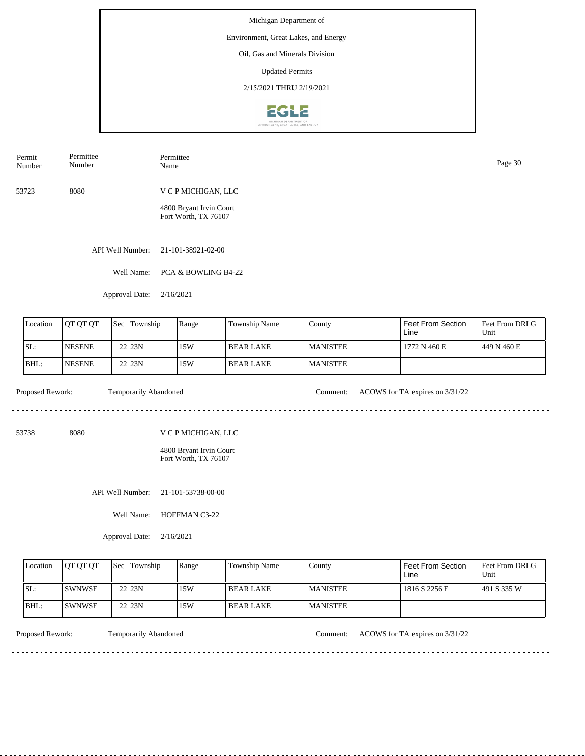### Environment, Great Lakes, and Energy

Oil, Gas and Minerals Division

Updated Permits

2/15/2021 THRU 2/19/2021



| Permit | Permittee | Permittee           | Page 30 |
|--------|-----------|---------------------|---------|
| Number | Number    | Name                |         |
| 53723  | 8080      | V C P MICHIGAN, LLC |         |

4800 Bryant Irvin Court Fort Worth, TX 76107

API Well Number: 21-101-38921-02-00

Well Name: PCA & BOWLING B4-22

Approval Date: 2/16/2021

| Location | <b>IOT OT OT</b> | <b>Sec Township</b> | Range | Township Name | <b>County</b>    | l Feet From Section<br>Line | Feet From DRLG<br>Unit |
|----------|------------------|---------------------|-------|---------------|------------------|-----------------------------|------------------------|
| SL:      | <b>NESENE</b>    | 22 23 N             | 15W   | l BEAR LAKE   | <b>IMANISTEE</b> | 1772 N 460 E                | 1449 N 460 E           |
| BHL:     | <b>NESENE</b>    | 22 23N              | 15W   | l BEAR LAKE   | <b>MANISTEE</b>  |                             |                        |

.............................

<u>. . . . . . . . .</u>

Proposed Rework: Temporarily Abandoned Comment: ACOWS for TA expires on  $3/31/22$ 

<u>. . . . . . . . . . . . . . . . .</u>

53738 8080

V C P MICHIGAN, LLC

4800 Bryant Irvin Court Fort Worth, TX 76107

API Well Number: 21-101-53738-00-00

Well Name: HOFFMAN C3-22

Approval Date: 2/16/2021

| Location | <b>OT OT OT</b> | <b>Sec Township</b> | Range | Township Name    | County           | Feet From Section<br>∟ine | <b>Feet From DRLG</b><br>Unit |
|----------|-----------------|---------------------|-------|------------------|------------------|---------------------------|-------------------------------|
| ISL:     | <b>ISWNWSE</b>  | 22 23N              | 15W   | I BEAR LAKE      | <b>IMANISTEE</b> | 1816 S 2256 E             | 1491 S 335 W                  |
| BHL:     | <b>ISWNWSE</b>  | 22 23N              | 15W   | <b>BEAR LAKE</b> | <b>IMANISTEE</b> |                           |                               |

<u>. . . . . . . .</u>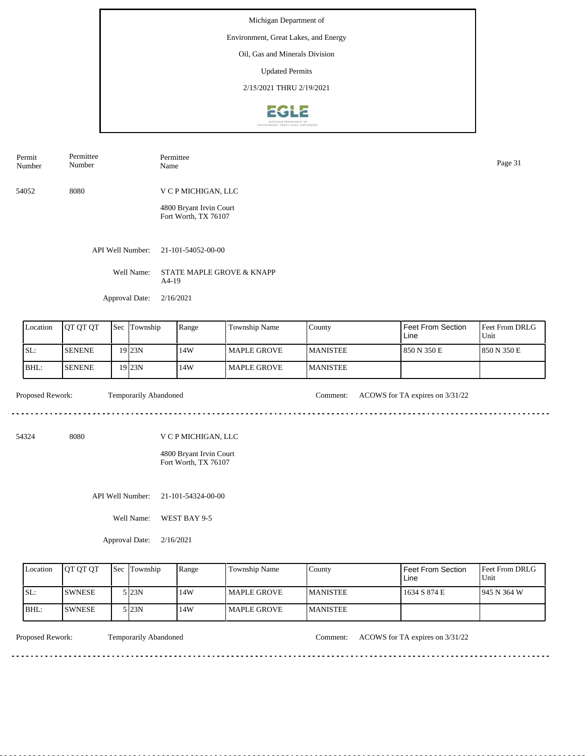### Environment, Great Lakes, and Energy

Oil, Gas and Minerals Division

Updated Permits

2/15/2021 THRU 2/19/2021



| Permit<br>Number | Permittee<br>Number | Permittee<br>Name       | Page 31 |
|------------------|---------------------|-------------------------|---------|
| 54052            | 8080                | V C P MICHIGAN, LLC     |         |
|                  |                     | 4800 Bryant Irvin Court |         |

API Well Number: 21-101-54052-00-00

Well Name: STATE MAPLE GROVE & KNAPP A4-19

Fort Worth, TX 76107

Approval Date: 2/16/2021

| Location | <b>JOT OT OT</b> | <b>Sec</b> | Township | Range | Township Name      | County           | Feet From Section<br>Line | <b>Feet From DRLG</b><br>Unit |
|----------|------------------|------------|----------|-------|--------------------|------------------|---------------------------|-------------------------------|
| ISL:     | <b>SENENE</b>    |            | 19 23N   | 14W   | MAPLE GROVE        | <b>IMANISTEE</b> | 850 N 350 E               | 1850 N 350 E                  |
| BHL:     | <b>SENENE</b>    |            | 19 23N   | 14W   | <b>MAPLE GROVE</b> | <b>IMANISTEE</b> |                           |                               |

Proposed Rework: Temporarily Abandoned Comment: ACOWS for TA expires on  $3/31/22$ 

54324 8080

V C P MICHIGAN, LLC

4800 Bryant Irvin Court Fort Worth, TX 76107

API Well Number: 21-101-54324-00-00

Well Name: WEST BAY 9-5

Approval Date: 2/16/2021

| Location | <b>OT OT OT</b> | <b>Sec</b> Township | Range | Township Name      | County           | <b>Feet From Section</b><br>Line | <b>Feet From DRLG</b><br>Unit |
|----------|-----------------|---------------------|-------|--------------------|------------------|----------------------------------|-------------------------------|
| SL:      | ISWNESE         | 5 <sub>123N</sub>   | 14W   | MAPLE GROVE        | <b>IMANISTEE</b> | 1634 S 874 E                     | 1945 N 364 W                  |
| BHL:     | ISWNESE         | 5 I23N              | 14W   | <b>MAPLE GROVE</b> | <b>MANISTEE</b>  |                                  |                               |

 $1.1.1.1.1.1.1.$ 

Proposed Rework: Temporarily Abandoned Comment: ACOWS for TA expires on 3/31/22

<u>. . . . . . . . . . . .</u>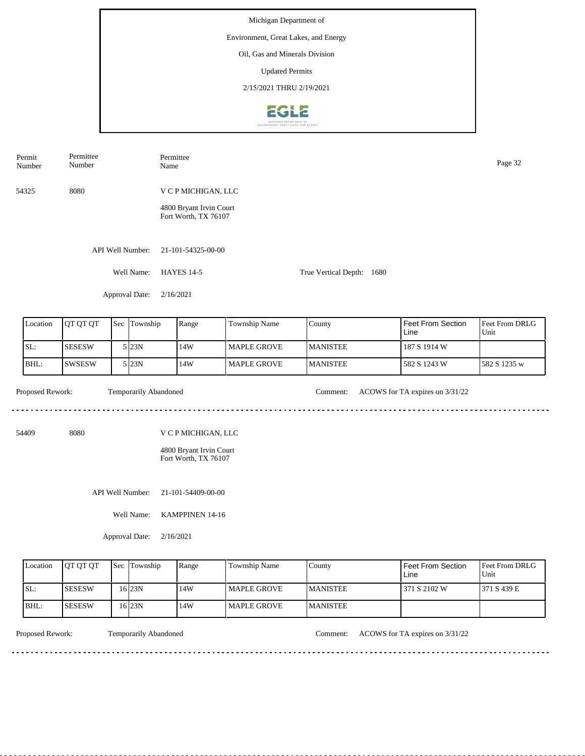Michigan Department of Environment, Great Lakes, and Energy Oil, Gas and Minerals Division Updated Permits 2/15/2021 THRU 2/19/2021**EGLE** 

| Permit<br>Number | Permittee<br>Number |     |                       |           | Permittee<br>Name                                                      |                    |                           |                                 |                        |  |  |
|------------------|---------------------|-----|-----------------------|-----------|------------------------------------------------------------------------|--------------------|---------------------------|---------------------------------|------------------------|--|--|
| 54325            | 8080                |     |                       |           | V C P MICHIGAN, LLC                                                    |                    |                           |                                 |                        |  |  |
|                  |                     |     |                       |           | 4800 Bryant Irvin Court<br>Fort Worth, TX 76107                        |                    |                           |                                 |                        |  |  |
|                  |                     |     | API Well Number:      |           | 21-101-54325-00-00                                                     |                    |                           |                                 |                        |  |  |
|                  |                     |     | Well Name:            |           | <b>HAYES 14-5</b>                                                      |                    | True Vertical Depth: 1680 |                                 |                        |  |  |
|                  |                     |     | Approval Date:        | 2/16/2021 |                                                                        |                    |                           |                                 |                        |  |  |
| Location         | QT QT QT            | Sec | Township              |           | Range                                                                  | Township Name      | County                    | Feet From Section<br>Line       | Feet From DRLG<br>Unit |  |  |
| SL:              | <b>SESESW</b>       |     | 5 23N                 |           | 14W                                                                    | <b>MAPLE GROVE</b> | <b>MANISTEE</b>           | 187 S 1914 W                    |                        |  |  |
| BHL:             | <b>SWSESW</b>       |     | 5 23N                 |           | 14W                                                                    | <b>MAPLE GROVE</b> | <b>MANISTEE</b>           | 582 S 1243 W                    | 582 S 1235 w           |  |  |
| Proposed Rework: |                     |     | Temporarily Abandoned |           |                                                                        |                    | Comment:                  | ACOWS for TA expires on 3/31/22 |                        |  |  |
| 54409            | 8080                |     |                       |           | V C P MICHIGAN, LLC<br>4800 Bryant Irvin Court<br>Fort Worth, TX 76107 |                    |                           |                                 |                        |  |  |
|                  |                     |     | API Well Number:      |           | 21-101-54409-00-00                                                     |                    |                           |                                 |                        |  |  |
|                  |                     |     | Well Name:            |           | KAMPPINEN 14-16                                                        |                    |                           |                                 |                        |  |  |

Approval Date: 2/16/2021

| Location | <b>IOT OT OT</b> | <b>Sec Township</b> | Range | Township Name        | County           | Feet From Section<br>Line | <b>Feet From DRLG</b><br>Unit |
|----------|------------------|---------------------|-------|----------------------|------------------|---------------------------|-------------------------------|
| SL:      | <b>SESESW</b>    | 6 23N               | 14W   | <b>I MAPLE GROVE</b> | <b>IMANISTEE</b> | 371 S 2102 W              | 1371 S 439 E                  |
| BHL:     | <b>ISESESW</b>   | 6 23N               | 14W   | I MAPLE GROVE        | <b>IMANISTEE</b> |                           |                               |

<u>. . . . . . . .</u>

Proposed Rework: Temporarily Abandoned Comment: ACOWS for TA expires on  $3/31/22$ 

<u>. . . . . . . . . . . . . . . . .</u>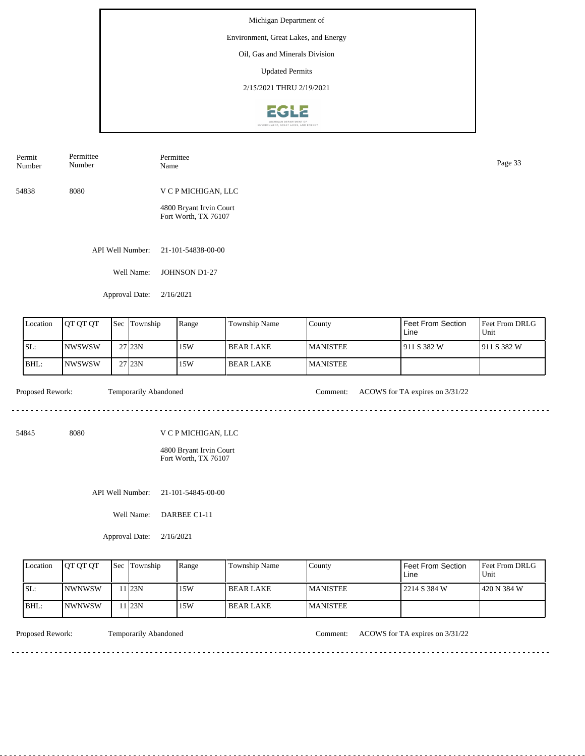# Environment, Great Lakes, and Energy

Oil, Gas and Minerals Division

Updated Permits

2/15/2021 THRU 2/19/2021



| Permit<br>Number | Permittee<br>Number | Permittee<br>Name                               | Page 33 |
|------------------|---------------------|-------------------------------------------------|---------|
| 54838            | 8080                | V C P MICHIGAN, LLC                             |         |
|                  |                     | 4800 Bryant Irvin Court<br>Fort Worth, TX 76107 |         |
|                  | API Well Number:    | 21-101-54838-00-00                              |         |

Well Name: JOHNSON D1-27

Approval Date: 2/16/2021

| Location | <b>IOT OT OT</b> | 'Sec | Township            | Range | <b>Township Name</b> | County           | l Feet From Section<br>Line | Feet From DRLG<br>Unit |
|----------|------------------|------|---------------------|-------|----------------------|------------------|-----------------------------|------------------------|
| SL:      | <b>INWSWSW</b>   |      | $27$ <sub>23N</sub> | 15W   | I BEAR LAKE          | <b>IMANISTEE</b> | 1911 S 382 W                | 1911 S 382 W           |
| IBHL:    | <b>INWSWSW</b>   |      | $27$ <sub>23N</sub> | 15W   | I BEAR LAKE          | <b>MANISTEE</b>  |                             |                        |

dia a a a a

Proposed Rework: Temporarily Abandoned Comment: ACOWS for TA expires on  $3/31/22$ 

. . . . . . . . . . . . . . . . . . .

<u>. . . . . . . . . . . . . . . . .</u>

54845 8080

V C P MICHIGAN, LLC

4800 Bryant Irvin Court Fort Worth, TX 76107

API Well Number: 21-101-54845-00-00

Well Name: DARBEE C1-11

Approval Date: 2/16/2021

| Location | <b>OT OT OT</b> | <b>Sec Township</b> | Range | <b>Township Name</b> | County           | Feet From Section<br>∟ine | <b>Feet From DRLG</b><br>Unit |
|----------|-----------------|---------------------|-------|----------------------|------------------|---------------------------|-------------------------------|
| ISL:     | <b>INWNWSW</b>  | 1 23N               | 15W   | I BEAR LAKE          | <b>IMANISTEE</b> | 2214 S 384 W              | 1420 N 384 W                  |
| BHL:     | <b>INWNWSW</b>  | 1 23N               | 15W   | I BEAR LAKE          | <b>MANISTEE</b>  |                           |                               |

<u>. . . . . . . .</u>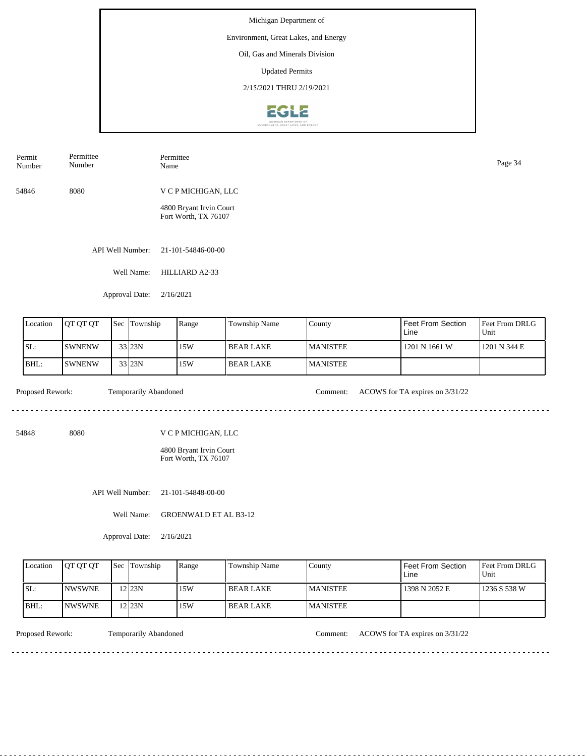Environment, Great Lakes, and Energy

Oil, Gas and Minerals Division

Updated Permits

2/15/2021 THRU 2/19/2021



| Permit<br>Number | Permittee<br>Number | Permittee<br>Name                               | Page 34 |
|------------------|---------------------|-------------------------------------------------|---------|
| 54846            | 8080                | V C P MICHIGAN, LLC                             |         |
|                  |                     | 4800 Bryant Irvin Court<br>Fort Worth, TX 76107 |         |

API Well Number: 21-101-54846-00-00

Well Name: HILLIARD A2-33

Approval Date: 2/16/2021

| Location | <b>QT QT QT</b> | Sec | Township             | Range | <b>Township Name</b> | County           | l Feet From Section<br>Line | <b>IFeet From DRLG</b><br>Unit |
|----------|-----------------|-----|----------------------|-------|----------------------|------------------|-----------------------------|--------------------------------|
| SL:      | <b>SWNENW</b>   |     | 33 23N               | 15W   | I BEAR LAKE          | <b>IMANISTEE</b> | 1201 N 1661 W               | 1201 N 344 E                   |
| BHL:     | <b>SWNENW</b>   |     | $33$ <sub>23</sub> N | 15W   | I BEAR LAKE          | <b>IMANISTEE</b> |                             |                                |

 $- - - - - -$ 

Proposed Rework: Temporarily Abandoned Comment: ACOWS for TA expires on  $3/31/22$ 

. . . . . . . . . . . . . . . . . . . .

<u>. . . . . . . . . . . . . . . . .</u>

54848 8080

V C P MICHIGAN, LLC

4800 Bryant Irvin Court Fort Worth, TX 76107

API Well Number: 21-101-54848-00-00

Well Name: GROENWALD ET AL B3-12

Approval Date: 2/16/2021

| Location | <b>IOT OT OT</b> | <b>Sec Township</b> | Range | Township Name | County           | Feet From Section<br>∟ine | <b>Feet From DRLG</b><br>Unit |
|----------|------------------|---------------------|-------|---------------|------------------|---------------------------|-------------------------------|
| ISL:     | <b>INWSWNE</b>   | $12$ 23N            | 15W   | I BEAR LAKE   | <b>IMANISTEE</b> | 1398 N 2052 E             | 1236 S 538 W                  |
| BHL:     | <b>INWSWNE</b>   | '2 $23N$            | 15W   | I BEAR LAKE   | <b>IMANISTEE</b> |                           |                               |

<u>. . . . . . . . .</u>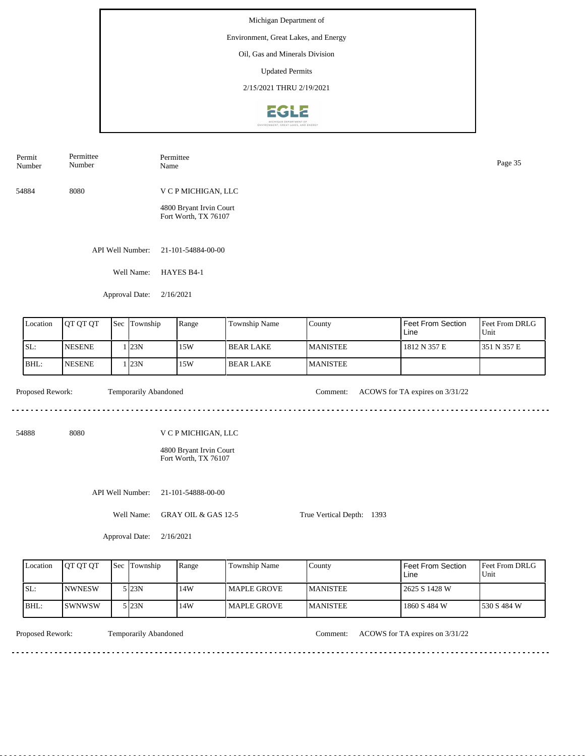# Environment, Great Lakes, and Energy

Oil, Gas and Minerals Division

Updated Permits

2/15/2021 THRU 2/19/2021



| Permit<br>Number | Permittee<br>Number | Permittee<br>Name                               | Page 35 |
|------------------|---------------------|-------------------------------------------------|---------|
| 54884            | 8080                | V C P MICHIGAN, LLC                             |         |
|                  |                     | 4800 Bryant Irvin Court<br>Fort Worth, TX 76107 |         |
|                  | API Well Number:    | 21-101-54884-00-00                              |         |

Well Name: HAYES B4-1

Approval Date: 2/16/2021

| Location | <b>IOT OT OT</b> | l Sec | Township | Range | Township Name | County           | <b>I</b> Feet From Section<br>l Line | <b>IFeet From DRLG</b><br>Unit |
|----------|------------------|-------|----------|-------|---------------|------------------|--------------------------------------|--------------------------------|
| ISL:     | <b>NESENE</b>    |       | 123N     | 15W   | l BEAR LAKE   | <b>MANISTEE</b>  | 1812 N 357 E                         | 351 N 357 E                    |
| IBHL:    | <b>INESENE</b>   |       | 123N     | 15W   | I BEAR LAKE   | <b>IMANISTEE</b> |                                      |                                |

54888 8080

Proposed Rework: Temporarily Abandoned Comment: ACOWS for TA expires on  $3/31/22$ 

. . . . . . . . . . . . . . . . . .

. . . . . . . . .

V C P MICHIGAN, LLC

4800 Bryant Irvin Court Fort Worth, TX 76107

API Well Number: 21-101-54888-00-00

Well Name: GRAY OIL & GAS 12-5

Approval Date: 2/16/2021

| <b>L</b> ocation | <b>IOT OT OT</b> | <b>Sec Township</b> | Range | Township Name       | County           | l Feet From Section<br>Line | <b>IFeet From DRLG</b><br>'Unit |
|------------------|------------------|---------------------|-------|---------------------|------------------|-----------------------------|---------------------------------|
| SL:              | <b>INWNESW</b>   | 5 I23N              | 14W   | <b>IMAPLE GROVE</b> | <b>IMANISTEE</b> | 12625 S 1428 W              |                                 |
| BHL              | ISWNWSW          | 5 I23N              | 14W   | <b>IMAPLE GROVE</b> | <b>IMANISTEE</b> | 1860 S 484 W                | 1530 S 484 W                    |

Temporarily Abandoned

Proposed Rework: Temporarily Abandoned Comment: ACOWS for TA expires on  $3/31/22$ 

True Vertical Depth: 1393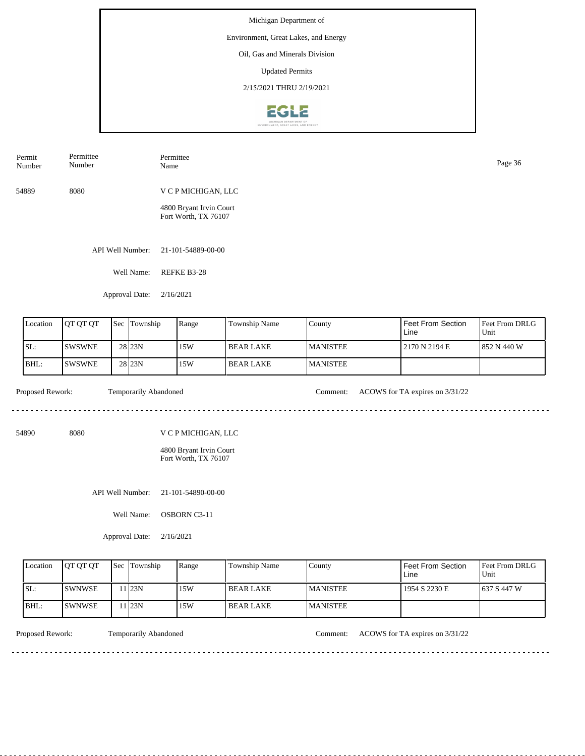Environment, Great Lakes, and Energy

Oil, Gas and Minerals Division

Updated Permits

2/15/2021 THRU 2/19/2021



| Permit<br>Number | Permittee<br>Number | Permittee<br>Name                               | Page 36 |
|------------------|---------------------|-------------------------------------------------|---------|
| 54889            | 8080                | V C P MICHIGAN, LLC                             |         |
|                  |                     | 4800 Bryant Irvin Court<br>Fort Worth, TX 76107 |         |
|                  | API Well Number:    | 21-101-54889-00-00                              |         |

Well Name: REFKE B3-28

Approval Date: 2/16/2021

| Location | <b>OT QT QT</b> | Sec | Township           | Range | <b>Township Name</b> | County          | I Feet From Section<br>Line | <b>IFeet From DRLG</b><br>Unit |
|----------|-----------------|-----|--------------------|-------|----------------------|-----------------|-----------------------------|--------------------------------|
| SL:      | <b>SWSWNE</b>   |     | 28 <sub>123N</sub> | 15W   | l BEAR LAKE          | <b>MANISTEE</b> | 2170 N 2194 E               | 1852 N 440 W                   |
| BHL:     | <b>SWSWNE</b>   |     | 28 <sub>23N</sub>  | 15W   | l BEAR LAKE          | <b>MANISTEE</b> |                             |                                |

. . . . . . . . .

Proposed Rework: Temporarily Abandoned Comment: ACOWS for TA expires on  $3/31/22$ 

<u>. . . . . . . . . . . . . . . . .</u>

54890 8080

V C P MICHIGAN, LLC

4800 Bryant Irvin Court Fort Worth, TX 76107

API Well Number: 21-101-54890-00-00

Well Name: OSBORN C3-11

Approval Date: 2/16/2021

| Location | <b>IOT OT OT</b> | <b>Sec Township</b> | Range | Township Name | County           | Feet From Section<br>∟ine | <b>Feet From DRLG</b><br>Unit |
|----------|------------------|---------------------|-------|---------------|------------------|---------------------------|-------------------------------|
| ISL:     | <b>ISWNWSE</b>   | 1123N               | 15W   | I BEAR LAKE   | <b>IMANISTEE</b> | 1954 S 2230 E             | 1637 S 447 W                  |
| BHL:     | <b>ISWNWSE</b>   | 1 23N               | 15W   | I BEAR LAKE   | <b>IMANISTEE</b> |                           |                               |

<u>. . . . . . . .</u>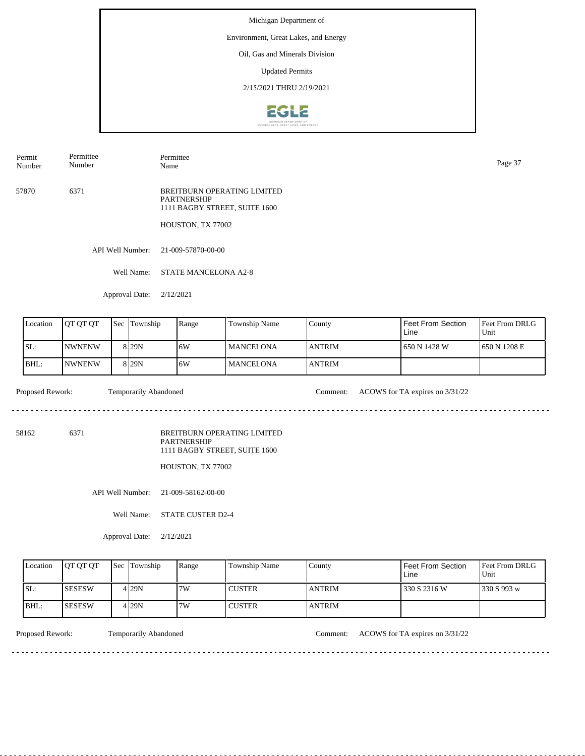### Environment, Great Lakes, and Energy

Oil, Gas and Minerals Division

Updated Permits

2/15/2021 THRU 2/19/2021



Permit Number Permittee Number

Permittee Name Page 37

57870 6371 BREITBURN OPERATING LIMITED PARTNERSHIP 1111 BAGBY STREET, SUITE 1600

HOUSTON, TX 77002

API Well Number: 21-009-57870-00-00

Well Name: STATE MANCELONA A2-8

Approval Date: 2/12/2021

| Location | <b>OT OT OT</b> | <b>Sec</b> | Township         | Range | Township Name    | County         | Feet From Section<br>Line | <b>Feet From DRLG</b><br>Unit |
|----------|-----------------|------------|------------------|-------|------------------|----------------|---------------------------|-------------------------------|
| SL:      | <b>INWNENW</b>  |            | 8 <sub>29N</sub> | 16W   | <b>MANCELONA</b> | <b>LANTRIM</b> | 1650 N 1428 W             | 650 N 1208 E                  |
| BHL:     | <b>NWNENW</b>   |            | 8 <sub>29N</sub> | 6W    | <b>MANCELONA</b> | <b>ANTRIM</b>  |                           |                               |

Proposed Rework: Temporarily Abandoned Comment: ACOWS for TA expires on  $3/31/22$ 

 $\mathcal{L}^{\mathcal{L}}\left( \mathcal{L}^{\mathcal{L}}\left( \mathcal{L}^{\mathcal{L}}\right) \right) =\mathcal{L}^{\mathcal{L}}\left( \mathcal{L}^{\mathcal{L}}\right)$ 

<u>. . . . . . . . . . .</u>

58162 6371

BREITBURN OPERATING LIMITED PARTNERSHIP 1111 BAGBY STREET, SUITE 1600

HOUSTON, TX 77002

API Well Number: 21-009-58162-00-00

Well Name: STATE CUSTER D2-4

Approval Date: 2/12/2021

| Location | <b>IOT OT OT</b> | <b>Sec Township</b> | Range | Township Name | County         | Feet From Section<br>Line | <b>Feet From DRLG</b><br>Unit |
|----------|------------------|---------------------|-------|---------------|----------------|---------------------------|-------------------------------|
| ISL:     | <b>ISESESW</b>   | 4 29N               | 7W    | <b>CUSTER</b> | <b>LANTRIM</b> | 330 S 2316 W              | 1330 S 993 w                  |
| IBHL:    | ISESESW          | 4 I 29 N            | 7W    | <b>CUSTER</b> | <b>ANTRIM</b>  |                           |                               |

Proposed Rework: Temporarily Abandoned Comment: ACOWS for TA expires on  $3/31/22$ 

<u>. . . . . . . .</u>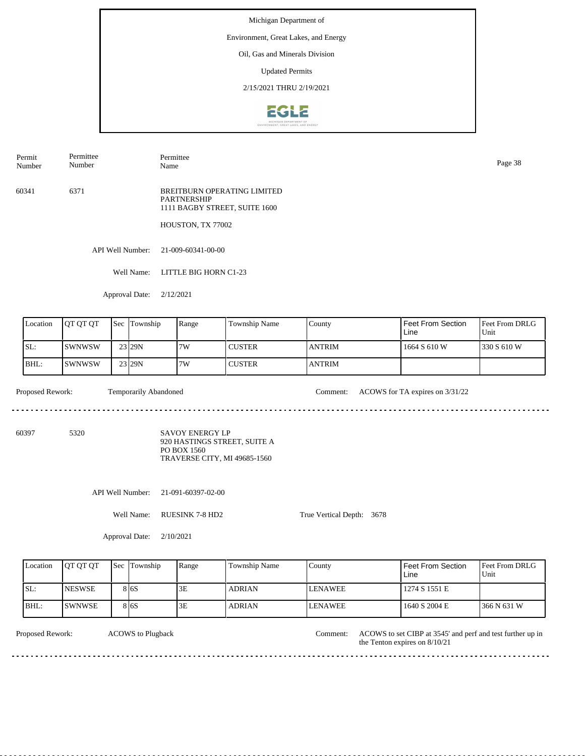### Environment, Great Lakes, and Energy

Oil, Gas and Minerals Division

Updated Permits

2/15/2021 THRU 2/19/2021



Permit Number Permittee Number

Permittee Name Page 38

60341 6371 BREITBURN OPERATING LIMITED PARTNERSHIP 1111 BAGBY STREET, SUITE 1600

HOUSTON, TX 77002

API Well Number: 21-009-60341-00-00

Well Name: LITTLE BIG HORN C1-23

Approval Date: 2/12/2021

| Location | <b>IOT OT OT</b> | $\text{Sec}$ . | Township | Range | <b>Township Name</b> | County        | Feet From Section<br>Line | <b>Feet From DRLG</b><br>Unit |
|----------|------------------|----------------|----------|-------|----------------------|---------------|---------------------------|-------------------------------|
| ISL:     | ISWNWSW          |                | 23 29N   | 7W    | <b>CUSTER</b>        | <b>ANTRIM</b> | 1664 S 610 W              | 1330 S 610 W                  |
| BHL:     | ISWNWSW          |                | 23 29N   | 7W    | <b>CUSTER</b>        | <b>ANTRIM</b> |                           |                               |

. . . . . . . .

Proposed Rework: Temporarily Abandoned Comment: ACOWS for TA expires on  $3/31/22$ 

60397 5320

SAVOY ENERGY LP 920 HASTINGS STREET, SUITE A PO BOX 1560 TRAVERSE CITY, MI 49685-1560

. . . . . . . . . . . . . . . .

API Well Number: 21-091-60397-02-00

Well Name: RUESINK 7-8 HD2

True Vertical Depth: 3678

Approval Date: 2/10/2021

| Location | <b>OT OT OT</b> | <b>Sec Township</b> | Range | <b>Township Name</b> | Countv          | Feet From Section<br>Line | <b>Feet From DRLG</b><br>Unit |
|----------|-----------------|---------------------|-------|----------------------|-----------------|---------------------------|-------------------------------|
| ISL:     | <b>INESWSE</b>  | 8 I 6 S             | 3E    | <b>ADRIAN</b>        | <b>ILENAWEE</b> | 1274 S 1551 E             |                               |
| IBHL:    | ISWNWSE.        | 8 I 6 S             | 3Ε    | <b>ADRIAN</b>        | <b>LENAWEE</b>  | 1640 S 2004 E             | 366 N 631 W                   |

ACOWS to Plugback

Proposed Rework: ACOWS to Plugback Comment: ACOWS to set CIBP at 3545' and perf and test further up in Comment: the Tenton expires on 8/10/21 <u>. . . . . . . . .</u>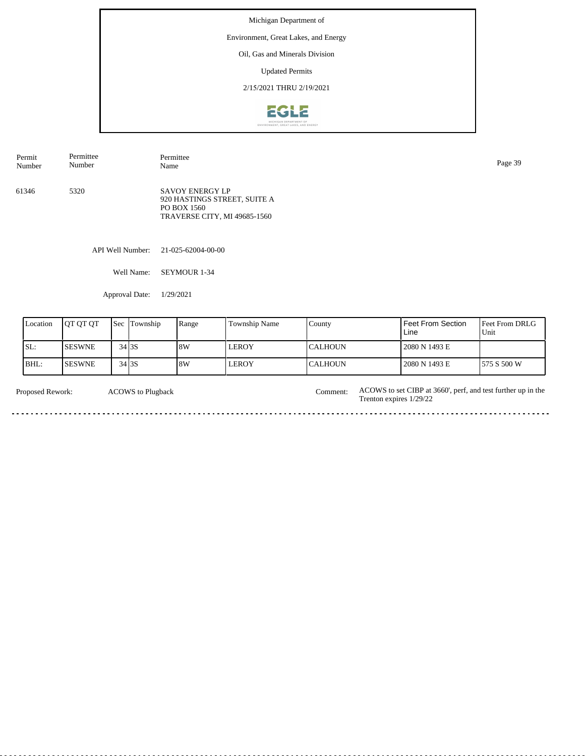## Environment, Great Lakes, and Energy

Oil, Gas and Minerals Division

Updated Permits

2/15/2021 THRU 2/19/2021



61346 5320 SAVOY ENERGY LP 920 HASTINGS STREET, SUITE A PO BOX 1560 TRAVERSE CITY, MI 49685-1560 Permit Number Permittee Number Permittee<br>Name Name Page 39

API Well Number: 21-025-62004-00-00

Well Name: SEYMOUR 1-34

Approval Date: 1/29/2021

| Location | <b>IOT OT OT</b> | <b>Sec Township</b> | Range | <b>Township Name</b> | County         | Feet From Section<br>Line | Feet From DRLG<br>Unit |
|----------|------------------|---------------------|-------|----------------------|----------------|---------------------------|------------------------|
| ISL:     | <b>ISESWNE</b>   | $34$ 3S             | 8W    | <b>LEROY</b>         | ICALHOUN       | 2080 N 1493 E             |                        |
| $BHL$ :  | <b>ISESWNE</b>   | 34 3 S              | 8W    | LEROY                | <b>CALHOUN</b> | 2080 N 1493 E             | 575 S 500 W            |

| <b>Proposed Rework:</b> | <b>ACOWS</b> to Plugback | Comment: ACOWS to set CIBP at 3660', perf, and test further up in the<br>Trenton expires $1/29/22$ |
|-------------------------|--------------------------|----------------------------------------------------------------------------------------------------|
|                         |                          |                                                                                                    |